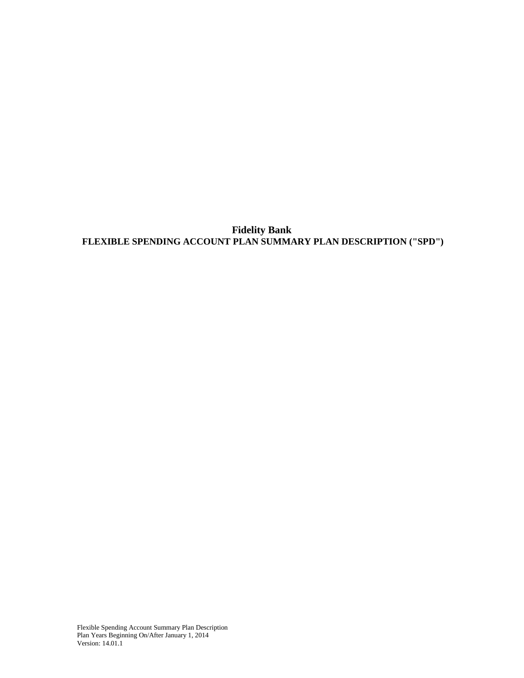**Fidelity Bank FLEXIBLE SPENDING ACCOUNT PLAN SUMMARY PLAN DESCRIPTION ("SPD")**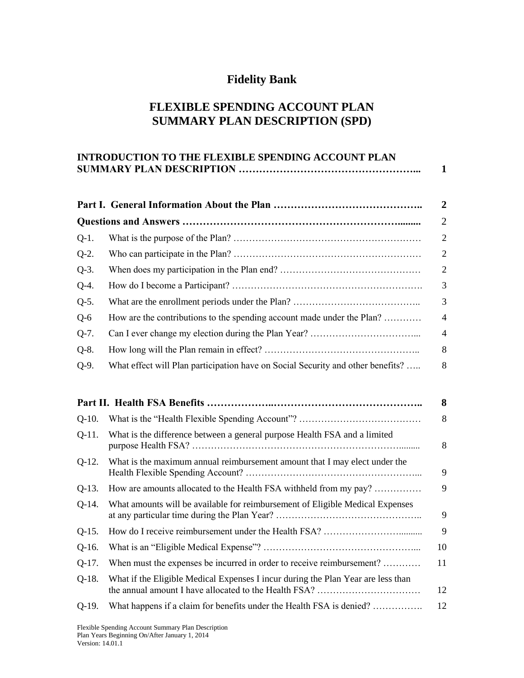# **Fidelity Bank**

# **FLEXIBLE SPENDING ACCOUNT PLAN SUMMARY PLAN DESCRIPTION (SPD)**

# **INTRODUCTION TO THE FLEXIBLE SPENDING ACCOUNT PLAN SUMMARY PLAN DESCRIPTION ……………………………………………... 1**

|         |                                                                                        | $\overline{2}$ |
|---------|----------------------------------------------------------------------------------------|----------------|
|         |                                                                                        | $\overline{2}$ |
| $Q-1$ . | $\overline{c}$                                                                         |                |
| $Q-2$ . | $\overline{c}$                                                                         |                |
| $Q-3$ . |                                                                                        | $\overline{c}$ |
| $Q-4$ . |                                                                                        | 3              |
| $Q-5$ . |                                                                                        | 3              |
| $Q-6$   | How are the contributions to the spending account made under the Plan?                 | $\overline{4}$ |
| $Q-7$ . |                                                                                        | $\overline{4}$ |
| $Q-8$ . |                                                                                        | 8              |
| $Q-9$ . | What effect will Plan participation have on Social Security and other benefits?        | 8              |
|         |                                                                                        |                |
|         |                                                                                        | 8              |
| $Q-10.$ |                                                                                        | 8              |
| $Q-11.$ | What is the difference between a general purpose Health FSA and a limited<br>8         |                |
| $Q-12.$ | What is the maximum annual reimbursement amount that I may elect under the<br>9        |                |
| $Q-13.$ | How are amounts allocated to the Health FSA withheld from my pay?                      | 9              |
| $Q-14.$ | What amounts will be available for reimbursement of Eligible Medical Expenses<br>9     |                |
| $Q-15.$ |                                                                                        | 9              |
| Q-16.   | 10                                                                                     |                |
| $Q-17.$ | When must the expenses be incurred in order to receive reimbursement?<br>11            |                |
| $Q-18.$ | What if the Eligible Medical Expenses I incur during the Plan Year are less than<br>12 |                |
| $Q-19.$ | What happens if a claim for benefits under the Health FSA is denied?                   | 12             |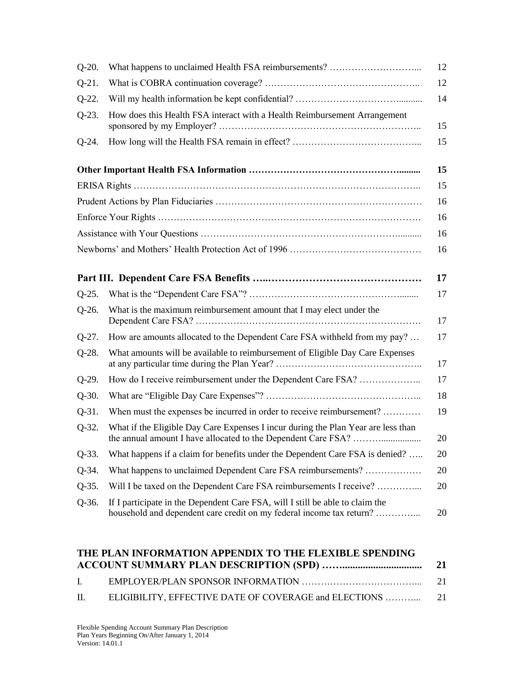| $Q-20.$   | 12<br>What happens to unclaimed Health FSA reimbursements?                                                                                                  |  |  |
|-----------|-------------------------------------------------------------------------------------------------------------------------------------------------------------|--|--|
| $Q-21.$   | 12                                                                                                                                                          |  |  |
| $Q-22.$   | 14                                                                                                                                                          |  |  |
| $Q-23.$   | How does this Health FSA interact with a Health Reimbursement Arrangement                                                                                   |  |  |
| $Q-24.$   |                                                                                                                                                             |  |  |
|           | 15                                                                                                                                                          |  |  |
|           | 15                                                                                                                                                          |  |  |
|           | 16                                                                                                                                                          |  |  |
|           |                                                                                                                                                             |  |  |
|           | 16                                                                                                                                                          |  |  |
|           |                                                                                                                                                             |  |  |
|           | 17                                                                                                                                                          |  |  |
| $Q-25.$   | 17                                                                                                                                                          |  |  |
| $Q-26.$   | What is the maximum reimbursement amount that I may elect under the<br>17                                                                                   |  |  |
| $Q-27.$   | How are amounts allocated to the Dependent Care FSA withheld from my pay?                                                                                   |  |  |
| $Q-28.$   | What amounts will be available to reimbursement of Eligible Day Care Expenses<br>17                                                                         |  |  |
| Q-29.     | How do I receive reimbursement under the Dependent Care FSA?<br>17                                                                                          |  |  |
| $Q-30.$   | 18                                                                                                                                                          |  |  |
| $Q-31.$   | When must the expenses be incurred in order to receive reimbursement?<br>19                                                                                 |  |  |
| $Q-32.$   | What if the Eligible Day Care Expenses I incur during the Plan Year are less than<br>20                                                                     |  |  |
| $Q-33.$   | What happens if a claim for benefits under the Dependent Care FSA is denied?                                                                                |  |  |
| $Q - 34.$ | What happens to unclaimed Dependent Care FSA reimbursements?<br>20                                                                                          |  |  |
| $Q-35.$   | Will I be taxed on the Dependent Care FSA reimbursements I receive?<br>20                                                                                   |  |  |
| Q-36.     | If I participate in the Dependent Care FSA, will I still be able to claim the<br>household and dependent care credit on my federal income tax return?<br>20 |  |  |

# **THE PLAN INFORMATION APPENDIX TO THE FLEXIBLE SPENDING ACCOUNT SUMMARY PLAN DESCRIPTION (SPD) ……...............................**

| ELIGIBILITY, EFFECTIVE DATE OF COVERAGE and ELECTIONS |  |
|-------------------------------------------------------|--|

**21**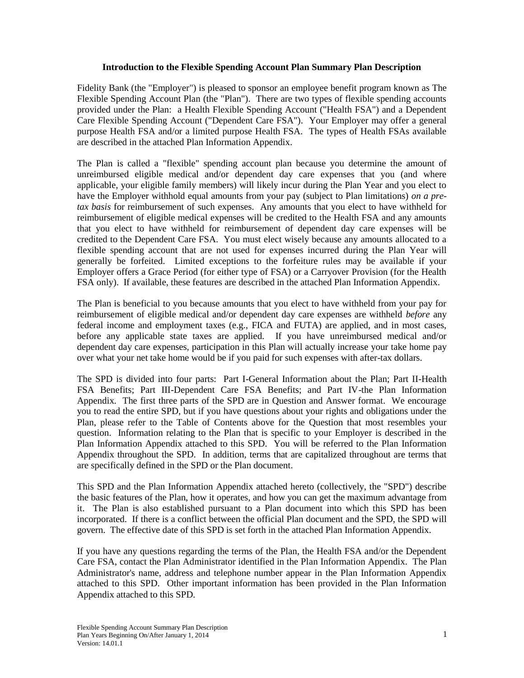#### **Introduction to the Flexible Spending Account Plan Summary Plan Description**

Fidelity Bank (the "Employer") is pleased to sponsor an employee benefit program known as The Flexible Spending Account Plan (the "Plan"). There are two types of flexible spending accounts provided under the Plan: a Health Flexible Spending Account ("Health FSA") and a Dependent Care Flexible Spending Account ("Dependent Care FSA"). Your Employer may offer a general purpose Health FSA and/or a limited purpose Health FSA. The types of Health FSAs available are described in the attached Plan Information Appendix.

The Plan is called a "flexible" spending account plan because you determine the amount of unreimbursed eligible medical and/or dependent day care expenses that you (and where applicable, your eligible family members) will likely incur during the Plan Year and you elect to have the Employer withhold equal amounts from your pay (subject to Plan limitations) *on a pretax basis* for reimbursement of such expenses*.* Any amounts that you elect to have withheld for reimbursement of eligible medical expenses will be credited to the Health FSA and any amounts that you elect to have withheld for reimbursement of dependent day care expenses will be credited to the Dependent Care FSA. You must elect wisely because any amounts allocated to a flexible spending account that are not used for expenses incurred during the Plan Year will generally be forfeited. Limited exceptions to the forfeiture rules may be available if your Employer offers a Grace Period (for either type of FSA) or a Carryover Provision (for the Health FSA only). If available, these features are described in the attached Plan Information Appendix.

The Plan is beneficial to you because amounts that you elect to have withheld from your pay for reimbursement of eligible medical and/or dependent day care expenses are withheld *before* any federal income and employment taxes (e.g., FICA and FUTA) are applied, and in most cases, before any applicable state taxes are applied. If you have unreimbursed medical and/or dependent day care expenses, participation in this Plan will actually increase your take home pay over what your net take home would be if you paid for such expenses with after-tax dollars.

The SPD is divided into four parts: Part I-General Information about the Plan; Part II-Health FSA Benefits; Part III-Dependent Care FSA Benefits; and Part IV-the Plan Information Appendix. The first three parts of the SPD are in Question and Answer format. We encourage you to read the entire SPD, but if you have questions about your rights and obligations under the Plan, please refer to the Table of Contents above for the Question that most resembles your question. Information relating to the Plan that is specific to your Employer is described in the Plan Information Appendix attached to this SPD. You will be referred to the Plan Information Appendix throughout the SPD. In addition, terms that are capitalized throughout are terms that are specifically defined in the SPD or the Plan document.

This SPD and the Plan Information Appendix attached hereto (collectively, the "SPD") describe the basic features of the Plan, how it operates, and how you can get the maximum advantage from it. The Plan is also established pursuant to a Plan document into which this SPD has been incorporated. If there is a conflict between the official Plan document and the SPD, the SPD will govern. The effective date of this SPD is set forth in the attached Plan Information Appendix.

If you have any questions regarding the terms of the Plan, the Health FSA and/or the Dependent Care FSA, contact the Plan Administrator identified in the Plan Information Appendix. The Plan Administrator's name, address and telephone number appear in the Plan Information Appendix attached to this SPD. Other important information has been provided in the Plan Information Appendix attached to this SPD.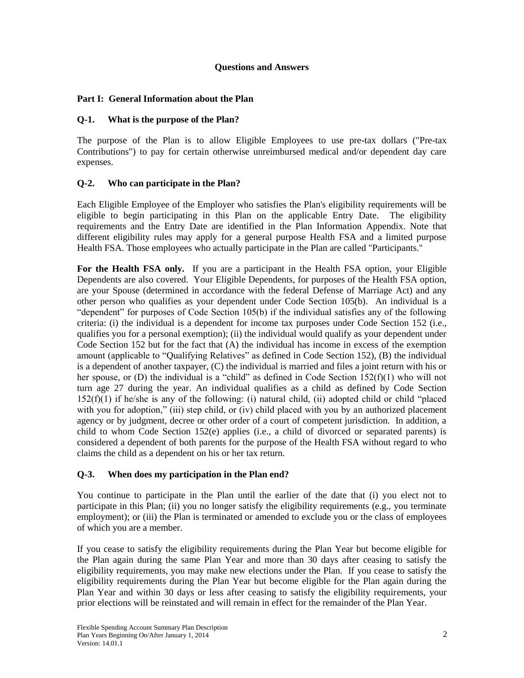#### **Questions and Answers**

# **Part I: General Information about the Plan**

### **Q-1. What is the purpose of the Plan?**

The purpose of the Plan is to allow Eligible Employees to use pre-tax dollars ("Pre-tax Contributions") to pay for certain otherwise unreimbursed medical and/or dependent day care expenses.

# **Q-2. Who can participate in the Plan?**

Each Eligible Employee of the Employer who satisfies the Plan's eligibility requirements will be eligible to begin participating in this Plan on the applicable Entry Date. The eligibility requirements and the Entry Date are identified in the Plan Information Appendix. Note that different eligibility rules may apply for a general purpose Health FSA and a limited purpose Health FSA. Those employees who actually participate in the Plan are called "Participants."

For the Health FSA only. If you are a participant in the Health FSA option, your Eligible Dependents are also covered. Your Eligible Dependents, for purposes of the Health FSA option, are your Spouse (determined in accordance with the federal Defense of Marriage Act) and any other person who qualifies as your dependent under Code Section 105(b). An individual is a "dependent" for purposes of Code Section 105(b) if the individual satisfies any of the following criteria: (i) the individual is a dependent for income tax purposes under Code Section 152 (i.e., qualifies you for a personal exemption); (ii) the individual would qualify as your dependent under Code Section 152 but for the fact that (A) the individual has income in excess of the exemption amount (applicable to "Qualifying Relatives" as defined in Code Section 152), (B) the individual is a dependent of another taxpayer, (C) the individual is married and files a joint return with his or her spouse, or (D) the individual is a "child" as defined in Code Section 152(f)(1) who will not turn age 27 during the year. An individual qualifies as a child as defined by Code Section 152(f)(1) if he/she is any of the following: (i) natural child, (ii) adopted child or child "placed with you for adoption," (iii) step child, or (iv) child placed with you by an authorized placement agency or by judgment, decree or other order of a court of competent jurisdiction. In addition, a child to whom Code Section 152(e) applies (i.e., a child of divorced or separated parents) is considered a dependent of both parents for the purpose of the Health FSA without regard to who claims the child as a dependent on his or her tax return.

# **Q-3. When does my participation in the Plan end?**

You continue to participate in the Plan until the earlier of the date that (i) you elect not to participate in this Plan; (ii) you no longer satisfy the eligibility requirements (e.g., you terminate employment); or (iii) the Plan is terminated or amended to exclude you or the class of employees of which you are a member.

If you cease to satisfy the eligibility requirements during the Plan Year but become eligible for the Plan again during the same Plan Year and more than 30 days after ceasing to satisfy the eligibility requirements, you may make new elections under the Plan. If you cease to satisfy the eligibility requirements during the Plan Year but become eligible for the Plan again during the Plan Year and within 30 days or less after ceasing to satisfy the eligibility requirements, your prior elections will be reinstated and will remain in effect for the remainder of the Plan Year.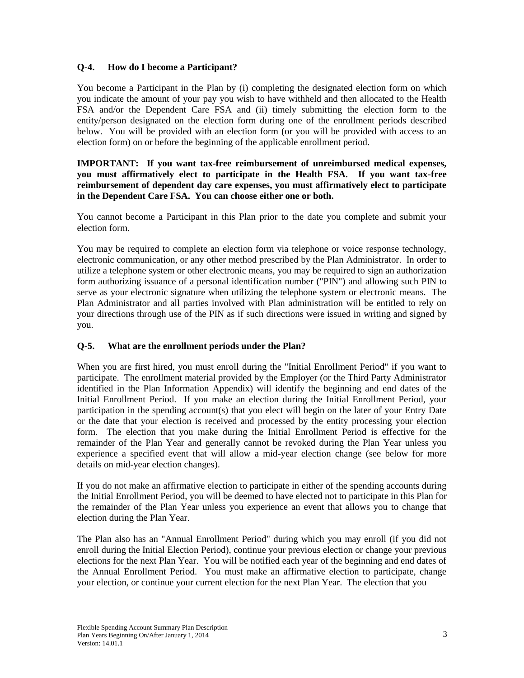### **Q-4. How do I become a Participant?**

You become a Participant in the Plan by (i) completing the designated election form on which you indicate the amount of your pay you wish to have withheld and then allocated to the Health FSA and/or the Dependent Care FSA and (ii) timely submitting the election form to the entity/person designated on the election form during one of the enrollment periods described below. You will be provided with an election form (or you will be provided with access to an election form) on or before the beginning of the applicable enrollment period.

#### **IMPORTANT: If you want tax-free reimbursement of unreimbursed medical expenses, you must affirmatively elect to participate in the Health FSA. If you want tax-free reimbursement of dependent day care expenses, you must affirmatively elect to participate in the Dependent Care FSA. You can choose either one or both.**

You cannot become a Participant in this Plan prior to the date you complete and submit your election form.

You may be required to complete an election form via telephone or voice response technology, electronic communication, or any other method prescribed by the Plan Administrator. In order to utilize a telephone system or other electronic means, you may be required to sign an authorization form authorizing issuance of a personal identification number ("PIN") and allowing such PIN to serve as your electronic signature when utilizing the telephone system or electronic means. The Plan Administrator and all parties involved with Plan administration will be entitled to rely on your directions through use of the PIN as if such directions were issued in writing and signed by you.

# **Q-5. What are the enrollment periods under the Plan?**

When you are first hired, you must enroll during the "Initial Enrollment Period" if you want to participate. The enrollment material provided by the Employer (or the Third Party Administrator identified in the Plan Information Appendix) will identify the beginning and end dates of the Initial Enrollment Period. If you make an election during the Initial Enrollment Period, your participation in the spending account(s) that you elect will begin on the later of your Entry Date or the date that your election is received and processed by the entity processing your election form. The election that you make during the Initial Enrollment Period is effective for the remainder of the Plan Year and generally cannot be revoked during the Plan Year unless you experience a specified event that will allow a mid-year election change (see below for more details on mid-year election changes).

If you do not make an affirmative election to participate in either of the spending accounts during the Initial Enrollment Period, you will be deemed to have elected not to participate in this Plan for the remainder of the Plan Year unless you experience an event that allows you to change that election during the Plan Year.

The Plan also has an "Annual Enrollment Period" during which you may enroll (if you did not enroll during the Initial Election Period), continue your previous election or change your previous elections for the next Plan Year. You will be notified each year of the beginning and end dates of the Annual Enrollment Period. You must make an affirmative election to participate, change your election, or continue your current election for the next Plan Year. The election that you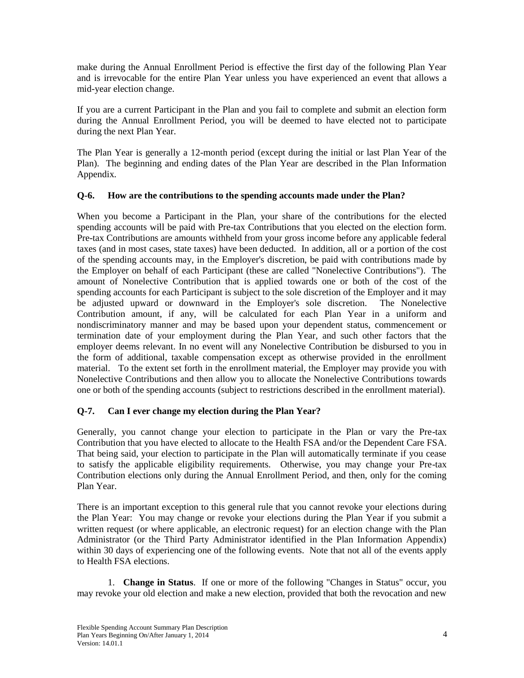make during the Annual Enrollment Period is effective the first day of the following Plan Year and is irrevocable for the entire Plan Year unless you have experienced an event that allows a mid-year election change.

If you are a current Participant in the Plan and you fail to complete and submit an election form during the Annual Enrollment Period, you will be deemed to have elected not to participate during the next Plan Year.

The Plan Year is generally a 12-month period (except during the initial or last Plan Year of the Plan). The beginning and ending dates of the Plan Year are described in the Plan Information Appendix.

# **Q-6. How are the contributions to the spending accounts made under the Plan?**

When you become a Participant in the Plan, your share of the contributions for the elected spending accounts will be paid with Pre-tax Contributions that you elected on the election form. Pre-tax Contributions are amounts withheld from your gross income before any applicable federal taxes (and in most cases, state taxes) have been deducted. In addition, all or a portion of the cost of the spending accounts may, in the Employer's discretion, be paid with contributions made by the Employer on behalf of each Participant (these are called "Nonelective Contributions"). The amount of Nonelective Contribution that is applied towards one or both of the cost of the spending accounts for each Participant is subject to the sole discretion of the Employer and it may be adjusted upward or downward in the Employer's sole discretion. The Nonelective Contribution amount, if any, will be calculated for each Plan Year in a uniform and nondiscriminatory manner and may be based upon your dependent status, commencement or termination date of your employment during the Plan Year, and such other factors that the employer deems relevant. In no event will any Nonelective Contribution be disbursed to you in the form of additional, taxable compensation except as otherwise provided in the enrollment material. To the extent set forth in the enrollment material, the Employer may provide you with Nonelective Contributions and then allow you to allocate the Nonelective Contributions towards one or both of the spending accounts (subject to restrictions described in the enrollment material).

# **Q-7. Can I ever change my election during the Plan Year?**

Generally, you cannot change your election to participate in the Plan or vary the Pre-tax Contribution that you have elected to allocate to the Health FSA and/or the Dependent Care FSA. That being said, your election to participate in the Plan will automatically terminate if you cease to satisfy the applicable eligibility requirements. Otherwise, you may change your Pre-tax Contribution elections only during the Annual Enrollment Period, and then, only for the coming Plan Year.

There is an important exception to this general rule that you cannot revoke your elections during the Plan Year: You may change or revoke your elections during the Plan Year if you submit a written request (or where applicable, an electronic request) for an election change with the Plan Administrator (or the Third Party Administrator identified in the Plan Information Appendix) within 30 days of experiencing one of the following events. Note that not all of the events apply to Health FSA elections.

1. **Change in Status**. If one or more of the following "Changes in Status" occur, you may revoke your old election and make a new election, provided that both the revocation and new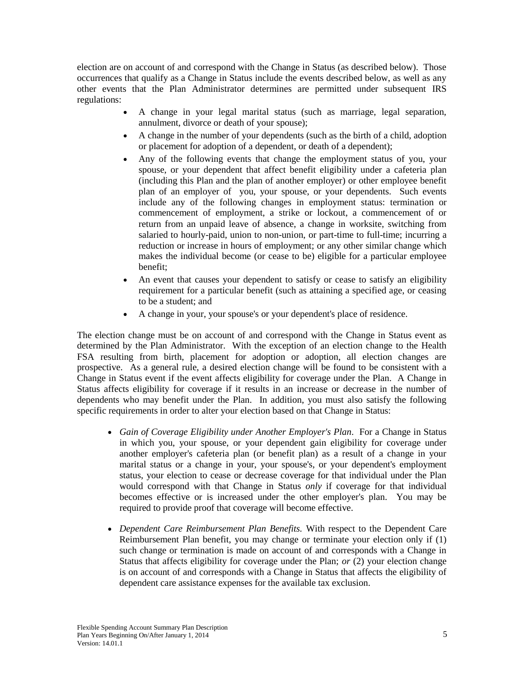election are on account of and correspond with the Change in Status (as described below). Those occurrences that qualify as a Change in Status include the events described below, as well as any other events that the Plan Administrator determines are permitted under subsequent IRS regulations:

- A change in your legal marital status (such as marriage, legal separation, annulment, divorce or death of your spouse);
- A change in the number of your dependents (such as the birth of a child, adoption or placement for adoption of a dependent, or death of a dependent);
- Any of the following events that change the employment status of you, your spouse, or your dependent that affect benefit eligibility under a cafeteria plan (including this Plan and the plan of another employer) or other employee benefit plan of an employer of you, your spouse, or your dependents. Such events include any of the following changes in employment status: termination or commencement of employment, a strike or lockout, a commencement of or return from an unpaid leave of absence, a change in worksite, switching from salaried to hourly-paid, union to non-union, or part-time to full-time; incurring a reduction or increase in hours of employment; or any other similar change which makes the individual become (or cease to be) eligible for a particular employee benefit;
- An event that causes your dependent to satisfy or cease to satisfy an eligibility requirement for a particular benefit (such as attaining a specified age, or ceasing to be a student; and
- A change in your, your spouse's or your dependent's place of residence.

The election change must be on account of and correspond with the Change in Status event as determined by the Plan Administrator. With the exception of an election change to the Health FSA resulting from birth, placement for adoption or adoption, all election changes are prospective. As a general rule, a desired election change will be found to be consistent with a Change in Status event if the event affects eligibility for coverage under the Plan. A Change in Status affects eligibility for coverage if it results in an increase or decrease in the number of dependents who may benefit under the Plan. In addition, you must also satisfy the following specific requirements in order to alter your election based on that Change in Status:

- *Gain of Coverage Eligibility under Another Employer's Plan*. For a Change in Status in which you, your spouse, or your dependent gain eligibility for coverage under another employer's cafeteria plan (or benefit plan) as a result of a change in your marital status or a change in your, your spouse's, or your dependent's employment status, your election to cease or decrease coverage for that individual under the Plan would correspond with that Change in Status *only* if coverage for that individual becomes effective or is increased under the other employer's plan. You may be required to provide proof that coverage will become effective.
- *Dependent Care Reimbursement Plan Benefits.* With respect to the Dependent Care Reimbursement Plan benefit, you may change or terminate your election only if (1) such change or termination is made on account of and corresponds with a Change in Status that affects eligibility for coverage under the Plan; *or* (2) your election change is on account of and corresponds with a Change in Status that affects the eligibility of dependent care assistance expenses for the available tax exclusion.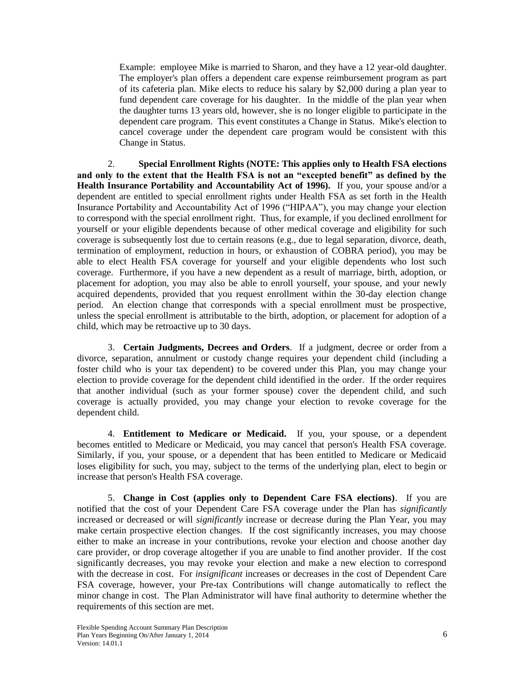Example: employee Mike is married to Sharon, and they have a 12 year-old daughter. The employer's plan offers a dependent care expense reimbursement program as part of its cafeteria plan. Mike elects to reduce his salary by \$2,000 during a plan year to fund dependent care coverage for his daughter. In the middle of the plan year when the daughter turns 13 years old, however, she is no longer eligible to participate in the dependent care program. This event constitutes a Change in Status. Mike's election to cancel coverage under the dependent care program would be consistent with this Change in Status.

2. **Special Enrollment Rights (NOTE: This applies only to Health FSA elections and only to the extent that the Health FSA is not an "excepted benefit" as defined by the Health Insurance Portability and Accountability Act of 1996).** If you, your spouse and/or a dependent are entitled to special enrollment rights under Health FSA as set forth in the Health Insurance Portability and Accountability Act of 1996 ("HIPAA"), you may change your election to correspond with the special enrollment right. Thus, for example, if you declined enrollment for yourself or your eligible dependents because of other medical coverage and eligibility for such coverage is subsequently lost due to certain reasons (e.g., due to legal separation, divorce, death, termination of employment, reduction in hours, or exhaustion of COBRA period), you may be able to elect Health FSA coverage for yourself and your eligible dependents who lost such coverage. Furthermore, if you have a new dependent as a result of marriage, birth, adoption, or placement for adoption, you may also be able to enroll yourself, your spouse, and your newly acquired dependents, provided that you request enrollment within the 30-day election change period. An election change that corresponds with a special enrollment must be prospective, unless the special enrollment is attributable to the birth, adoption, or placement for adoption of a child, which may be retroactive up to 30 days.

3. **Certain Judgments, Decrees and Orders**. If a judgment, decree or order from a divorce, separation, annulment or custody change requires your dependent child (including a foster child who is your tax dependent) to be covered under this Plan, you may change your election to provide coverage for the dependent child identified in the order. If the order requires that another individual (such as your former spouse) cover the dependent child, and such coverage is actually provided, you may change your election to revoke coverage for the dependent child.

4. **Entitlement to Medicare or Medicaid.** If you, your spouse, or a dependent becomes entitled to Medicare or Medicaid, you may cancel that person's Health FSA coverage. Similarly, if you, your spouse, or a dependent that has been entitled to Medicare or Medicaid loses eligibility for such, you may, subject to the terms of the underlying plan, elect to begin or increase that person's Health FSA coverage.

5. **Change in Cost (applies only to Dependent Care FSA elections)**. If you are notified that the cost of your Dependent Care FSA coverage under the Plan has *significantly* increased or decreased or will *significantly* increase or decrease during the Plan Year, you may make certain prospective election changes. If the cost significantly increases, you may choose either to make an increase in your contributions, revoke your election and choose another day care provider, or drop coverage altogether if you are unable to find another provider. If the cost significantly decreases, you may revoke your election and make a new election to correspond with the decrease in cost. For *insignificant* increases or decreases in the cost of Dependent Care FSA coverage, however, your Pre-tax Contributions will change automatically to reflect the minor change in cost. The Plan Administrator will have final authority to determine whether the requirements of this section are met.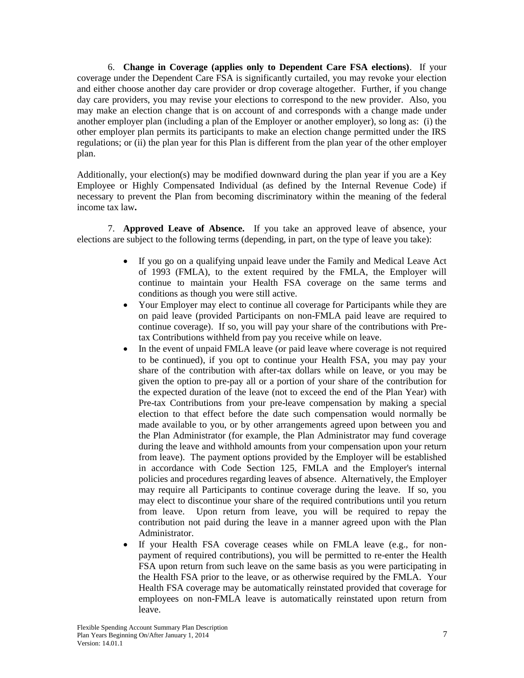6. **Change in Coverage (applies only to Dependent Care FSA elections)**. If your coverage under the Dependent Care FSA is significantly curtailed, you may revoke your election and either choose another day care provider or drop coverage altogether. Further, if you change day care providers, you may revise your elections to correspond to the new provider. Also, you may make an election change that is on account of and corresponds with a change made under another employer plan (including a plan of the Employer or another employer), so long as: (i) the other employer plan permits its participants to make an election change permitted under the IRS regulations; or (ii) the plan year for this Plan is different from the plan year of the other employer plan.

Additionally, your election(s) may be modified downward during the plan year if you are a Key Employee or Highly Compensated Individual (as defined by the Internal Revenue Code) if necessary to prevent the Plan from becoming discriminatory within the meaning of the federal income tax law**.**

7. **Approved Leave of Absence.** If you take an approved leave of absence, your elections are subject to the following terms (depending, in part, on the type of leave you take):

- If you go on a qualifying unpaid leave under the Family and Medical Leave Act of 1993 (FMLA), to the extent required by the FMLA, the Employer will continue to maintain your Health FSA coverage on the same terms and conditions as though you were still active.
- Your Employer may elect to continue all coverage for Participants while they are on paid leave (provided Participants on non-FMLA paid leave are required to continue coverage). If so, you will pay your share of the contributions with Pretax Contributions withheld from pay you receive while on leave.
- In the event of unpaid FMLA leave (or paid leave where coverage is not required to be continued), if you opt to continue your Health FSA, you may pay your share of the contribution with after-tax dollars while on leave, or you may be given the option to pre-pay all or a portion of your share of the contribution for the expected duration of the leave (not to exceed the end of the Plan Year) with Pre-tax Contributions from your pre-leave compensation by making a special election to that effect before the date such compensation would normally be made available to you, or by other arrangements agreed upon between you and the Plan Administrator (for example, the Plan Administrator may fund coverage during the leave and withhold amounts from your compensation upon your return from leave). The payment options provided by the Employer will be established in accordance with Code Section 125, FMLA and the Employer's internal policies and procedures regarding leaves of absence. Alternatively, the Employer may require all Participants to continue coverage during the leave. If so, you may elect to discontinue your share of the required contributions until you return from leave. Upon return from leave, you will be required to repay the contribution not paid during the leave in a manner agreed upon with the Plan Administrator.
- If your Health FSA coverage ceases while on FMLA leave (e.g., for nonpayment of required contributions), you will be permitted to re-enter the Health FSA upon return from such leave on the same basis as you were participating in the Health FSA prior to the leave, or as otherwise required by the FMLA. Your Health FSA coverage may be automatically reinstated provided that coverage for employees on non-FMLA leave is automatically reinstated upon return from leave.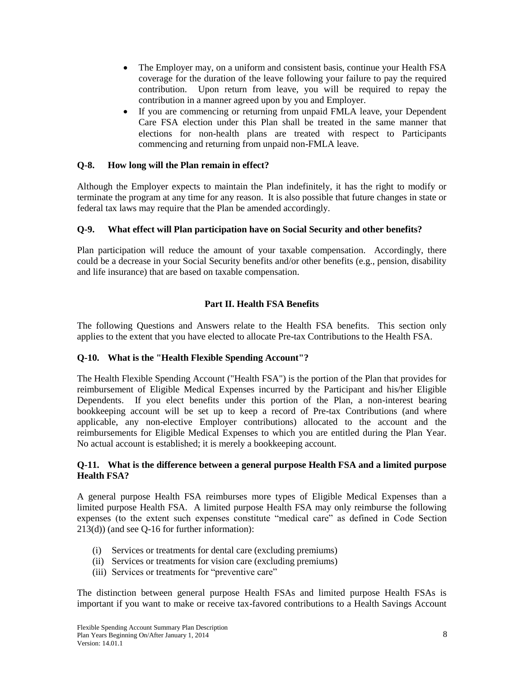- The Employer may, on a uniform and consistent basis, continue your Health FSA coverage for the duration of the leave following your failure to pay the required contribution. Upon return from leave, you will be required to repay the contribution in a manner agreed upon by you and Employer.
- If you are commencing or returning from unpaid FMLA leave, your Dependent Care FSA election under this Plan shall be treated in the same manner that elections for non-health plans are treated with respect to Participants commencing and returning from unpaid non-FMLA leave.

# **Q-8. How long will the Plan remain in effect?**

Although the Employer expects to maintain the Plan indefinitely, it has the right to modify or terminate the program at any time for any reason. It is also possible that future changes in state or federal tax laws may require that the Plan be amended accordingly.

# **Q-9. What effect will Plan participation have on Social Security and other benefits?**

Plan participation will reduce the amount of your taxable compensation. Accordingly, there could be a decrease in your Social Security benefits and/or other benefits (e.g., pension, disability and life insurance) that are based on taxable compensation.

# **Part II. Health FSA Benefits**

The following Questions and Answers relate to the Health FSA benefits. This section only applies to the extent that you have elected to allocate Pre-tax Contributions to the Health FSA.

# **Q-10. What is the "Health Flexible Spending Account"?**

The Health Flexible Spending Account ("Health FSA") is the portion of the Plan that provides for reimbursement of Eligible Medical Expenses incurred by the Participant and his/her Eligible Dependents. If you elect benefits under this portion of the Plan, a non-interest bearing bookkeeping account will be set up to keep a record of Pre-tax Contributions (and where applicable, any non-elective Employer contributions) allocated to the account and the reimbursements for Eligible Medical Expenses to which you are entitled during the Plan Year. No actual account is established; it is merely a bookkeeping account.

### **Q-11. What is the difference between a general purpose Health FSA and a limited purpose Health FSA?**

A general purpose Health FSA reimburses more types of Eligible Medical Expenses than a limited purpose Health FSA. A limited purpose Health FSA may only reimburse the following expenses (to the extent such expenses constitute "medical care" as defined in Code Section 213(d)) (and see Q-16 for further information):

- (i) Services or treatments for dental care (excluding premiums)
- (ii) Services or treatments for vision care (excluding premiums)
- (iii) Services or treatments for "preventive care"

The distinction between general purpose Health FSAs and limited purpose Health FSAs is important if you want to make or receive tax-favored contributions to a Health Savings Account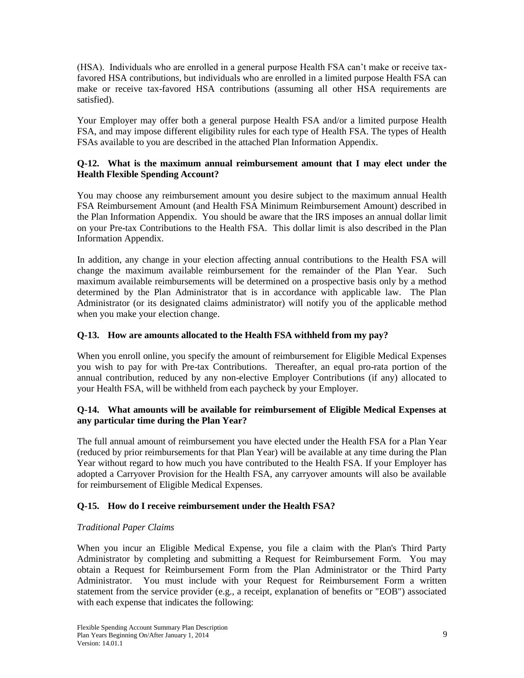(HSA). Individuals who are enrolled in a general purpose Health FSA can't make or receive taxfavored HSA contributions, but individuals who are enrolled in a limited purpose Health FSA can make or receive tax-favored HSA contributions (assuming all other HSA requirements are satisfied).

Your Employer may offer both a general purpose Health FSA and/or a limited purpose Health FSA, and may impose different eligibility rules for each type of Health FSA. The types of Health FSAs available to you are described in the attached Plan Information Appendix.

### **Q-12. What is the maximum annual reimbursement amount that I may elect under the Health Flexible Spending Account?**

You may choose any reimbursement amount you desire subject to the maximum annual Health FSA Reimbursement Amount (and Health FSA Minimum Reimbursement Amount) described in the Plan Information Appendix. You should be aware that the IRS imposes an annual dollar limit on your Pre-tax Contributions to the Health FSA. This dollar limit is also described in the Plan Information Appendix.

In addition, any change in your election affecting annual contributions to the Health FSA will change the maximum available reimbursement for the remainder of the Plan Year. Such maximum available reimbursements will be determined on a prospective basis only by a method determined by the Plan Administrator that is in accordance with applicable law. The Plan Administrator (or its designated claims administrator) will notify you of the applicable method when you make your election change.

# **Q-13. How are amounts allocated to the Health FSA withheld from my pay?**

When you enroll online, you specify the amount of reimbursement for Eligible Medical Expenses you wish to pay for with Pre-tax Contributions. Thereafter, an equal pro-rata portion of the annual contribution, reduced by any non-elective Employer Contributions (if any) allocated to your Health FSA, will be withheld from each paycheck by your Employer.

# **Q-14. What amounts will be available for reimbursement of Eligible Medical Expenses at any particular time during the Plan Year?**

The full annual amount of reimbursement you have elected under the Health FSA for a Plan Year (reduced by prior reimbursements for that Plan Year) will be available at any time during the Plan Year without regard to how much you have contributed to the Health FSA. If your Employer has adopted a Carryover Provision for the Health FSA, any carryover amounts will also be available for reimbursement of Eligible Medical Expenses.

# **Q-15. How do I receive reimbursement under the Health FSA?**

# *Traditional Paper Claims*

When you incur an Eligible Medical Expense, you file a claim with the Plan's Third Party Administrator by completing and submitting a Request for Reimbursement Form. You may obtain a Request for Reimbursement Form from the Plan Administrator or the Third Party Administrator. You must include with your Request for Reimbursement Form a written statement from the service provider (e.g., a receipt, explanation of benefits or "EOB") associated with each expense that indicates the following: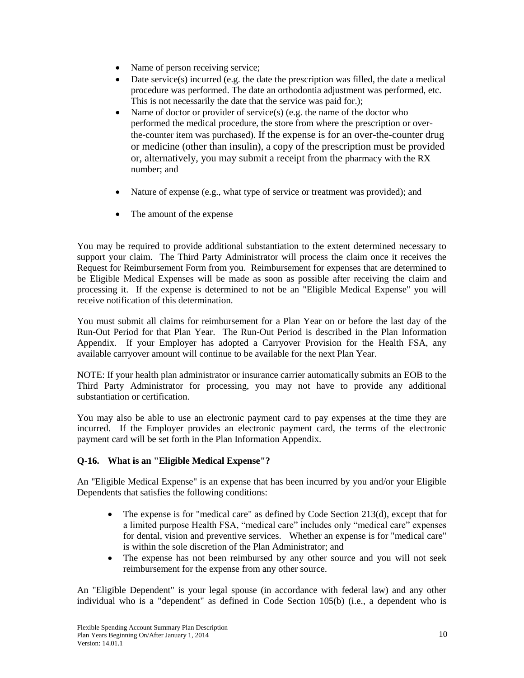- Name of person receiving service;
- Date service(s) incurred (e.g. the date the prescription was filled, the date a medical procedure was performed. The date an orthodontia adjustment was performed, etc. This is not necessarily the date that the service was paid for.);
- Name of doctor or provider of service(s) (e.g. the name of the doctor who performed the medical procedure, the store from where the prescription or overthe-counter item was purchased). If the expense is for an over-the-counter drug or medicine (other than insulin), a copy of the prescription must be provided or, alternatively, you may submit a receipt from the pharmacy with the RX number; and
- Nature of expense (e.g., what type of service or treatment was provided); and
- The amount of the expense

You may be required to provide additional substantiation to the extent determined necessary to support your claim. The Third Party Administrator will process the claim once it receives the Request for Reimbursement Form from you. Reimbursement for expenses that are determined to be Eligible Medical Expenses will be made as soon as possible after receiving the claim and processing it. If the expense is determined to not be an "Eligible Medical Expense" you will receive notification of this determination.

You must submit all claims for reimbursement for a Plan Year on or before the last day of the Run-Out Period for that Plan Year. The Run-Out Period is described in the Plan Information Appendix. If your Employer has adopted a Carryover Provision for the Health FSA, any available carryover amount will continue to be available for the next Plan Year.

NOTE: If your health plan administrator or insurance carrier automatically submits an EOB to the Third Party Administrator for processing, you may not have to provide any additional substantiation or certification.

You may also be able to use an electronic payment card to pay expenses at the time they are incurred. If the Employer provides an electronic payment card, the terms of the electronic payment card will be set forth in the Plan Information Appendix.

# **Q-16. What is an "Eligible Medical Expense"?**

An "Eligible Medical Expense" is an expense that has been incurred by you and/or your Eligible Dependents that satisfies the following conditions:

- The expense is for "medical care" as defined by Code Section 213(d), except that for a limited purpose Health FSA, "medical care" includes only "medical care" expenses for dental, vision and preventive services. Whether an expense is for "medical care" is within the sole discretion of the Plan Administrator; and
- The expense has not been reimbursed by any other source and you will not seek reimbursement for the expense from any other source.

An "Eligible Dependent" is your legal spouse (in accordance with federal law) and any other individual who is a "dependent" as defined in Code Section 105(b) (i.e., a dependent who is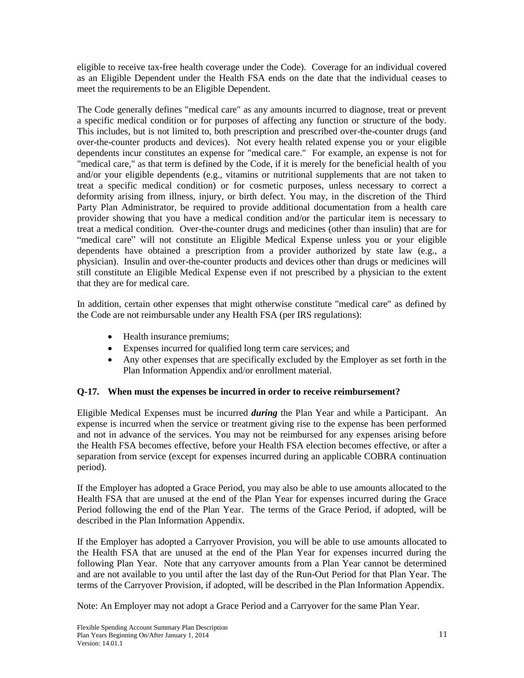eligible to receive tax-free health coverage under the Code). Coverage for an individual covered as an Eligible Dependent under the Health FSA ends on the date that the individual ceases to meet the requirements to be an Eligible Dependent.

The Code generally defines "medical care" as any amounts incurred to diagnose, treat or prevent a specific medical condition or for purposes of affecting any function or structure of the body. This includes, but is not limited to, both prescription and prescribed over-the-counter drugs (and over-the-counter products and devices). Not every health related expense you or your eligible dependents incur constitutes an expense for "medical care." For example, an expense is not for "medical care," as that term is defined by the Code, if it is merely for the beneficial health of you and/or your eligible dependents (e.g., vitamins or nutritional supplements that are not taken to treat a specific medical condition) or for cosmetic purposes, unless necessary to correct a deformity arising from illness, injury, or birth defect. You may, in the discretion of the Third Party Plan Administrator, be required to provide additional documentation from a health care provider showing that you have a medical condition and/or the particular item is necessary to treat a medical condition. Over-the-counter drugs and medicines (other than insulin) that are for "medical care" will not constitute an Eligible Medical Expense unless you or your eligible dependents have obtained a prescription from a provider authorized by state law (e.g., a physician). Insulin and over-the-counter products and devices other than drugs or medicines will still constitute an Eligible Medical Expense even if not prescribed by a physician to the extent that they are for medical care.

In addition, certain other expenses that might otherwise constitute "medical care" as defined by the Code are not reimbursable under any Health FSA (per IRS regulations):

- Health insurance premiums;
- Expenses incurred for qualified long term care services; and
- Any other expenses that are specifically excluded by the Employer as set forth in the Plan Information Appendix and/or enrollment material.

# **Q-17. When must the expenses be incurred in order to receive reimbursement?**

Eligible Medical Expenses must be incurred *during* the Plan Year and while a Participant. An expense is incurred when the service or treatment giving rise to the expense has been performed and not in advance of the services. You may not be reimbursed for any expenses arising before the Health FSA becomes effective, before your Health FSA election becomes effective, or after a separation from service (except for expenses incurred during an applicable COBRA continuation period).

If the Employer has adopted a Grace Period, you may also be able to use amounts allocated to the Health FSA that are unused at the end of the Plan Year for expenses incurred during the Grace Period following the end of the Plan Year. The terms of the Grace Period, if adopted, will be described in the Plan Information Appendix.

If the Employer has adopted a Carryover Provision, you will be able to use amounts allocated to the Health FSA that are unused at the end of the Plan Year for expenses incurred during the following Plan Year. Note that any carryover amounts from a Plan Year cannot be determined and are not available to you until after the last day of the Run-Out Period for that Plan Year. The terms of the Carryover Provision, if adopted, will be described in the Plan Information Appendix.

Note: An Employer may not adopt a Grace Period and a Carryover for the same Plan Year.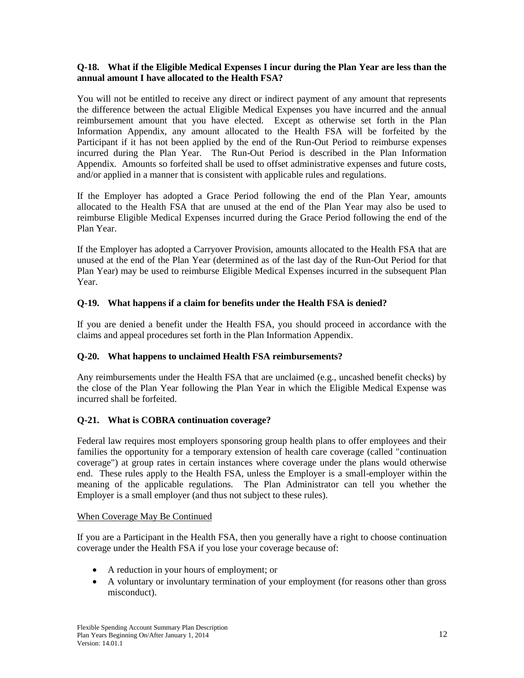#### **Q-18. What if the Eligible Medical Expenses I incur during the Plan Year are less than the annual amount I have allocated to the Health FSA?**

You will not be entitled to receive any direct or indirect payment of any amount that represents the difference between the actual Eligible Medical Expenses you have incurred and the annual reimbursement amount that you have elected. Except as otherwise set forth in the Plan Information Appendix, any amount allocated to the Health FSA will be forfeited by the Participant if it has not been applied by the end of the Run-Out Period to reimburse expenses incurred during the Plan Year. The Run-Out Period is described in the Plan Information Appendix. Amounts so forfeited shall be used to offset administrative expenses and future costs, and/or applied in a manner that is consistent with applicable rules and regulations.

If the Employer has adopted a Grace Period following the end of the Plan Year, amounts allocated to the Health FSA that are unused at the end of the Plan Year may also be used to reimburse Eligible Medical Expenses incurred during the Grace Period following the end of the Plan Year.

If the Employer has adopted a Carryover Provision, amounts allocated to the Health FSA that are unused at the end of the Plan Year (determined as of the last day of the Run-Out Period for that Plan Year) may be used to reimburse Eligible Medical Expenses incurred in the subsequent Plan Year.

# **Q-19. What happens if a claim for benefits under the Health FSA is denied?**

If you are denied a benefit under the Health FSA, you should proceed in accordance with the claims and appeal procedures set forth in the Plan Information Appendix.

# **Q-20. What happens to unclaimed Health FSA reimbursements?**

Any reimbursements under the Health FSA that are unclaimed (e.g., uncashed benefit checks) by the close of the Plan Year following the Plan Year in which the Eligible Medical Expense was incurred shall be forfeited.

# **Q-21. What is COBRA continuation coverage?**

Federal law requires most employers sponsoring group health plans to offer employees and their families the opportunity for a temporary extension of health care coverage (called "continuation coverage") at group rates in certain instances where coverage under the plans would otherwise end. These rules apply to the Health FSA, unless the Employer is a small-employer within the meaning of the applicable regulations. The Plan Administrator can tell you whether the Employer is a small employer (and thus not subject to these rules).

#### When Coverage May Be Continued

If you are a Participant in the Health FSA, then you generally have a right to choose continuation coverage under the Health FSA if you lose your coverage because of:

- A reduction in your hours of employment; or
- A voluntary or involuntary termination of your employment (for reasons other than gross misconduct).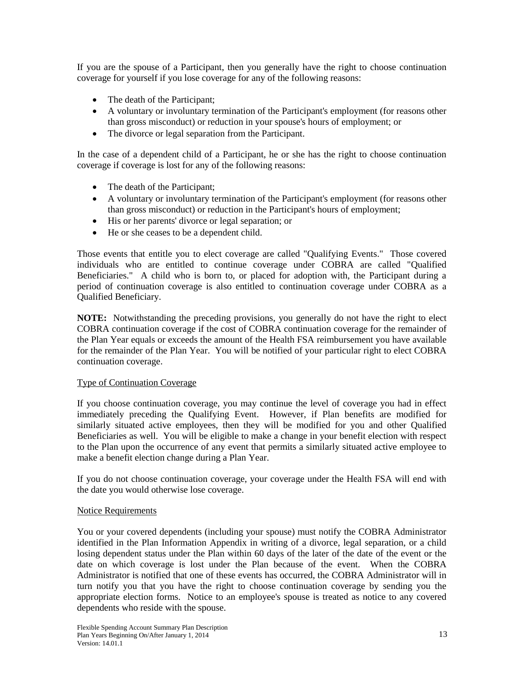If you are the spouse of a Participant, then you generally have the right to choose continuation coverage for yourself if you lose coverage for any of the following reasons:

- The death of the Participant;
- A voluntary or involuntary termination of the Participant's employment (for reasons other than gross misconduct) or reduction in your spouse's hours of employment; or
- The divorce or legal separation from the Participant.

In the case of a dependent child of a Participant, he or she has the right to choose continuation coverage if coverage is lost for any of the following reasons:

- The death of the Participant;
- A voluntary or involuntary termination of the Participant's employment (for reasons other than gross misconduct) or reduction in the Participant's hours of employment;
- His or her parents' divorce or legal separation; or
- He or she ceases to be a dependent child.

Those events that entitle you to elect coverage are called "Qualifying Events." Those covered individuals who are entitled to continue coverage under COBRA are called "Qualified Beneficiaries." A child who is born to, or placed for adoption with, the Participant during a period of continuation coverage is also entitled to continuation coverage under COBRA as a Qualified Beneficiary.

**NOTE:** Notwithstanding the preceding provisions, you generally do not have the right to elect COBRA continuation coverage if the cost of COBRA continuation coverage for the remainder of the Plan Year equals or exceeds the amount of the Health FSA reimbursement you have available for the remainder of the Plan Year. You will be notified of your particular right to elect COBRA continuation coverage.

#### Type of Continuation Coverage

If you choose continuation coverage, you may continue the level of coverage you had in effect immediately preceding the Qualifying Event. However, if Plan benefits are modified for similarly situated active employees, then they will be modified for you and other Qualified Beneficiaries as well. You will be eligible to make a change in your benefit election with respect to the Plan upon the occurrence of any event that permits a similarly situated active employee to make a benefit election change during a Plan Year.

If you do not choose continuation coverage, your coverage under the Health FSA will end with the date you would otherwise lose coverage.

#### Notice Requirements

You or your covered dependents (including your spouse) must notify the COBRA Administrator identified in the Plan Information Appendix in writing of a divorce, legal separation, or a child losing dependent status under the Plan within 60 days of the later of the date of the event or the date on which coverage is lost under the Plan because of the event. When the COBRA Administrator is notified that one of these events has occurred, the COBRA Administrator will in turn notify you that you have the right to choose continuation coverage by sending you the appropriate election forms. Notice to an employee's spouse is treated as notice to any covered dependents who reside with the spouse.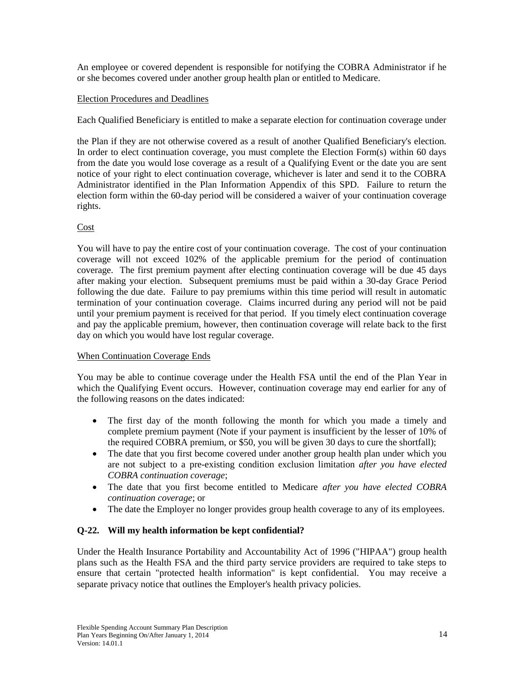An employee or covered dependent is responsible for notifying the COBRA Administrator if he or she becomes covered under another group health plan or entitled to Medicare.

### Election Procedures and Deadlines

Each Qualified Beneficiary is entitled to make a separate election for continuation coverage under

the Plan if they are not otherwise covered as a result of another Qualified Beneficiary's election. In order to elect continuation coverage, you must complete the Election Form(s) within 60 days from the date you would lose coverage as a result of a Qualifying Event or the date you are sent notice of your right to elect continuation coverage, whichever is later and send it to the COBRA Administrator identified in the Plan Information Appendix of this SPD. Failure to return the election form within the 60-day period will be considered a waiver of your continuation coverage rights.

### Cost

You will have to pay the entire cost of your continuation coverage. The cost of your continuation coverage will not exceed 102% of the applicable premium for the period of continuation coverage. The first premium payment after electing continuation coverage will be due 45 days after making your election. Subsequent premiums must be paid within a 30-day Grace Period following the due date. Failure to pay premiums within this time period will result in automatic termination of your continuation coverage. Claims incurred during any period will not be paid until your premium payment is received for that period. If you timely elect continuation coverage and pay the applicable premium, however, then continuation coverage will relate back to the first day on which you would have lost regular coverage.

#### When Continuation Coverage Ends

You may be able to continue coverage under the Health FSA until the end of the Plan Year in which the Qualifying Event occurs. However, continuation coverage may end earlier for any of the following reasons on the dates indicated:

- The first day of the month following the month for which you made a timely and complete premium payment (Note if your payment is insufficient by the lesser of 10% of the required COBRA premium, or \$50, you will be given 30 days to cure the shortfall);
- The date that you first become covered under another group health plan under which you are not subject to a pre-existing condition exclusion limitation *after you have elected COBRA continuation coverage*;
- The date that you first become entitled to Medicare *after you have elected COBRA continuation coverage*; or
- The date the Employer no longer provides group health coverage to any of its employees.

# **Q-22. Will my health information be kept confidential?**

Under the Health Insurance Portability and Accountability Act of 1996 ("HIPAA") group health plans such as the Health FSA and the third party service providers are required to take steps to ensure that certain "protected health information" is kept confidential. You may receive a separate privacy notice that outlines the Employer's health privacy policies.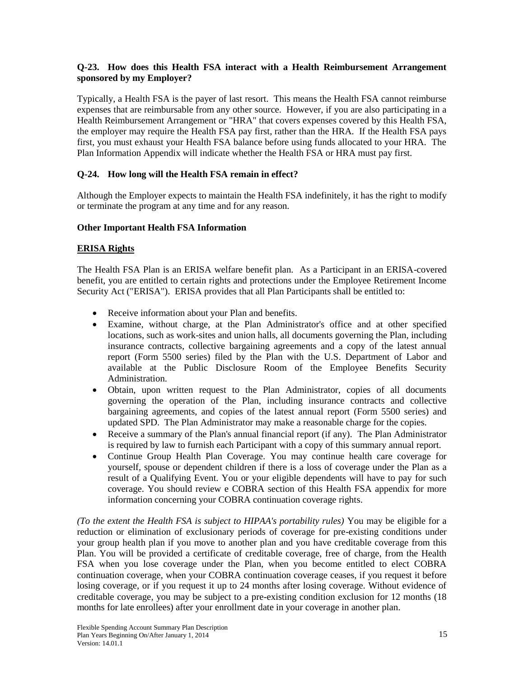### **Q-23. How does this Health FSA interact with a Health Reimbursement Arrangement sponsored by my Employer?**

Typically, a Health FSA is the payer of last resort. This means the Health FSA cannot reimburse expenses that are reimbursable from any other source. However, if you are also participating in a Health Reimbursement Arrangement or "HRA" that covers expenses covered by this Health FSA, the employer may require the Health FSA pay first, rather than the HRA. If the Health FSA pays first, you must exhaust your Health FSA balance before using funds allocated to your HRA. The Plan Information Appendix will indicate whether the Health FSA or HRA must pay first.

# **Q-24. How long will the Health FSA remain in effect?**

Although the Employer expects to maintain the Health FSA indefinitely, it has the right to modify or terminate the program at any time and for any reason.

### **Other Important Health FSA Information**

### **ERISA Rights**

The Health FSA Plan is an ERISA welfare benefit plan. As a Participant in an ERISA-covered benefit, you are entitled to certain rights and protections under the Employee Retirement Income Security Act ("ERISA"). ERISA provides that all Plan Participants shall be entitled to:

- Receive information about your Plan and benefits.
- Examine, without charge, at the Plan Administrator's office and at other specified locations, such as work-sites and union halls, all documents governing the Plan, including insurance contracts, collective bargaining agreements and a copy of the latest annual report (Form 5500 series) filed by the Plan with the U.S. Department of Labor and available at the Public Disclosure Room of the Employee Benefits Security Administration.
- Obtain, upon written request to the Plan Administrator, copies of all documents governing the operation of the Plan, including insurance contracts and collective bargaining agreements, and copies of the latest annual report (Form 5500 series) and updated SPD. The Plan Administrator may make a reasonable charge for the copies.
- Receive a summary of the Plan's annual financial report (if any). The Plan Administrator is required by law to furnish each Participant with a copy of this summary annual report.
- Continue Group Health Plan Coverage. You may continue health care coverage for yourself, spouse or dependent children if there is a loss of coverage under the Plan as a result of a Qualifying Event. You or your eligible dependents will have to pay for such coverage. You should review e COBRA section of this Health FSA appendix for more information concerning your COBRA continuation coverage rights.

*(To the extent the Health FSA is subject to HIPAA's portability rules)* You may be eligible for a reduction or elimination of exclusionary periods of coverage for pre-existing conditions under your group health plan if you move to another plan and you have creditable coverage from this Plan. You will be provided a certificate of creditable coverage, free of charge, from the Health FSA when you lose coverage under the Plan, when you become entitled to elect COBRA continuation coverage, when your COBRA continuation coverage ceases, if you request it before losing coverage, or if you request it up to 24 months after losing coverage. Without evidence of creditable coverage, you may be subject to a pre-existing condition exclusion for 12 months (18 months for late enrollees) after your enrollment date in your coverage in another plan.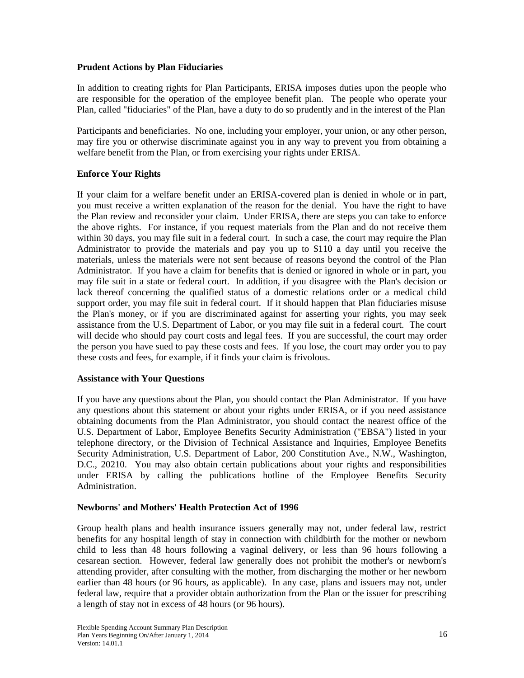#### **Prudent Actions by Plan Fiduciaries**

In addition to creating rights for Plan Participants, ERISA imposes duties upon the people who are responsible for the operation of the employee benefit plan. The people who operate your Plan, called "fiduciaries" of the Plan, have a duty to do so prudently and in the interest of the Plan

Participants and beneficiaries. No one, including your employer, your union, or any other person, may fire you or otherwise discriminate against you in any way to prevent you from obtaining a welfare benefit from the Plan, or from exercising your rights under ERISA.

### **Enforce Your Rights**

If your claim for a welfare benefit under an ERISA-covered plan is denied in whole or in part, you must receive a written explanation of the reason for the denial. You have the right to have the Plan review and reconsider your claim. Under ERISA, there are steps you can take to enforce the above rights. For instance, if you request materials from the Plan and do not receive them within 30 days, you may file suit in a federal court. In such a case, the court may require the Plan Administrator to provide the materials and pay you up to \$110 a day until you receive the materials, unless the materials were not sent because of reasons beyond the control of the Plan Administrator. If you have a claim for benefits that is denied or ignored in whole or in part, you may file suit in a state or federal court. In addition, if you disagree with the Plan's decision or lack thereof concerning the qualified status of a domestic relations order or a medical child support order, you may file suit in federal court. If it should happen that Plan fiduciaries misuse the Plan's money, or if you are discriminated against for asserting your rights, you may seek assistance from the U.S. Department of Labor, or you may file suit in a federal court. The court will decide who should pay court costs and legal fees. If you are successful, the court may order the person you have sued to pay these costs and fees. If you lose, the court may order you to pay these costs and fees, for example, if it finds your claim is frivolous.

#### **Assistance with Your Questions**

If you have any questions about the Plan, you should contact the Plan Administrator. If you have any questions about this statement or about your rights under ERISA, or if you need assistance obtaining documents from the Plan Administrator, you should contact the nearest office of the U.S. Department of Labor, Employee Benefits Security Administration ("EBSA") listed in your telephone directory, or the Division of Technical Assistance and Inquiries, Employee Benefits Security Administration, U.S. Department of Labor, 200 Constitution Ave., N.W., Washington, D.C., 20210. You may also obtain certain publications about your rights and responsibilities under ERISA by calling the publications hotline of the Employee Benefits Security Administration.

#### **Newborns' and Mothers' Health Protection Act of 1996**

Group health plans and health insurance issuers generally may not, under federal law, restrict benefits for any hospital length of stay in connection with childbirth for the mother or newborn child to less than 48 hours following a vaginal delivery, or less than 96 hours following a cesarean section. However, federal law generally does not prohibit the mother's or newborn's attending provider, after consulting with the mother, from discharging the mother or her newborn earlier than 48 hours (or 96 hours, as applicable). In any case, plans and issuers may not, under federal law, require that a provider obtain authorization from the Plan or the issuer for prescribing a length of stay not in excess of 48 hours (or 96 hours).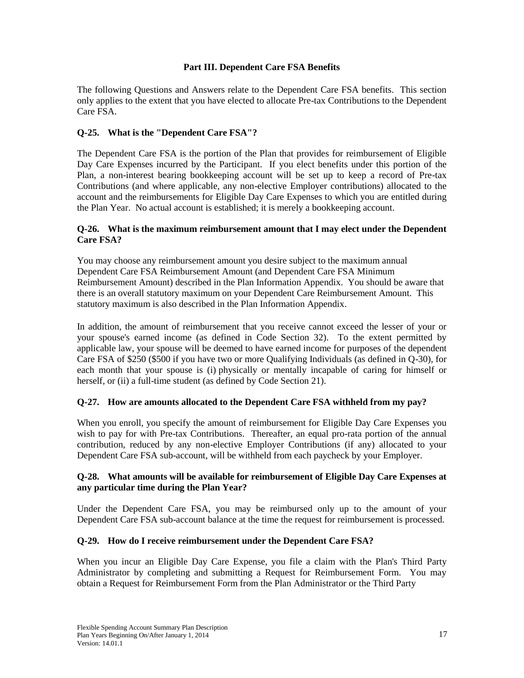#### **Part III. Dependent Care FSA Benefits**

The following Questions and Answers relate to the Dependent Care FSA benefits. This section only applies to the extent that you have elected to allocate Pre-tax Contributions to the Dependent Care FSA.

### **Q-25. What is the "Dependent Care FSA"?**

The Dependent Care FSA is the portion of the Plan that provides for reimbursement of Eligible Day Care Expenses incurred by the Participant. If you elect benefits under this portion of the Plan, a non-interest bearing bookkeeping account will be set up to keep a record of Pre-tax Contributions (and where applicable, any non-elective Employer contributions) allocated to the account and the reimbursements for Eligible Day Care Expenses to which you are entitled during the Plan Year. No actual account is established; it is merely a bookkeeping account.

#### **Q-26. What is the maximum reimbursement amount that I may elect under the Dependent Care FSA?**

You may choose any reimbursement amount you desire subject to the maximum annual Dependent Care FSA Reimbursement Amount (and Dependent Care FSA Minimum Reimbursement Amount) described in the Plan Information Appendix. You should be aware that there is an overall statutory maximum on your Dependent Care Reimbursement Amount. This statutory maximum is also described in the Plan Information Appendix.

In addition, the amount of reimbursement that you receive cannot exceed the lesser of your or your spouse's earned income (as defined in Code Section 32). To the extent permitted by applicable law, your spouse will be deemed to have earned income for purposes of the dependent Care FSA of \$250 (\$500 if you have two or more Qualifying Individuals (as defined in Q-30), for each month that your spouse is (i) physically or mentally incapable of caring for himself or herself, or (ii) a full-time student (as defined by Code Section 21).

# **Q-27. How are amounts allocated to the Dependent Care FSA withheld from my pay?**

When you enroll, you specify the amount of reimbursement for Eligible Day Care Expenses you wish to pay for with Pre-tax Contributions. Thereafter, an equal pro-rata portion of the annual contribution, reduced by any non-elective Employer Contributions (if any) allocated to your Dependent Care FSA sub-account, will be withheld from each paycheck by your Employer.

#### **Q-28. What amounts will be available for reimbursement of Eligible Day Care Expenses at any particular time during the Plan Year?**

Under the Dependent Care FSA, you may be reimbursed only up to the amount of your Dependent Care FSA sub-account balance at the time the request for reimbursement is processed.

#### **Q-29. How do I receive reimbursement under the Dependent Care FSA?**

When you incur an Eligible Day Care Expense, you file a claim with the Plan's Third Party Administrator by completing and submitting a Request for Reimbursement Form. You may obtain a Request for Reimbursement Form from the Plan Administrator or the Third Party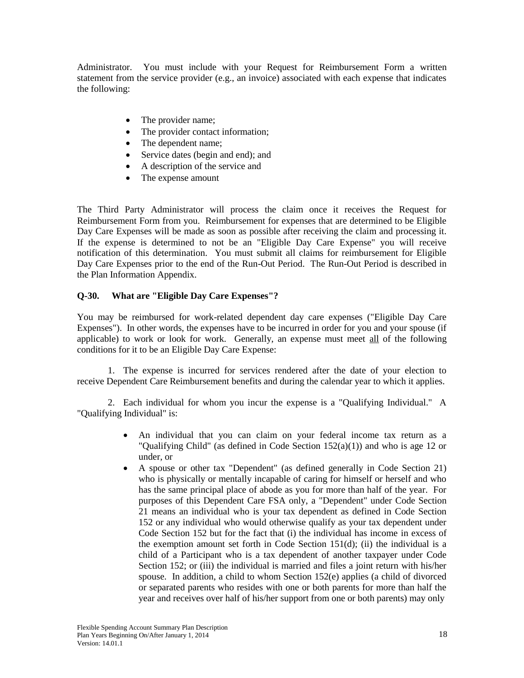Administrator. You must include with your Request for Reimbursement Form a written statement from the service provider (e.g., an invoice) associated with each expense that indicates the following:

- The provider name;
- The provider contact information;
- The dependent name;
- Service dates (begin and end); and
- A description of the service and
- The expense amount

The Third Party Administrator will process the claim once it receives the Request for Reimbursement Form from you. Reimbursement for expenses that are determined to be Eligible Day Care Expenses will be made as soon as possible after receiving the claim and processing it. If the expense is determined to not be an "Eligible Day Care Expense" you will receive notification of this determination. You must submit all claims for reimbursement for Eligible Day Care Expenses prior to the end of the Run-Out Period. The Run-Out Period is described in the Plan Information Appendix.

# **Q-30. What are "Eligible Day Care Expenses"?**

You may be reimbursed for work-related dependent day care expenses ("Eligible Day Care Expenses"). In other words, the expenses have to be incurred in order for you and your spouse (if applicable) to work or look for work. Generally, an expense must meet all of the following conditions for it to be an Eligible Day Care Expense:

1. The expense is incurred for services rendered after the date of your election to receive Dependent Care Reimbursement benefits and during the calendar year to which it applies.

2. Each individual for whom you incur the expense is a "Qualifying Individual." A "Qualifying Individual" is:

- An individual that you can claim on your federal income tax return as a "Qualifying Child" (as defined in Code Section 152(a)(1)) and who is age 12 or under, or
- A spouse or other tax "Dependent" (as defined generally in Code Section 21) who is physically or mentally incapable of caring for himself or herself and who has the same principal place of abode as you for more than half of the year. For purposes of this Dependent Care FSA only, a "Dependent" under Code Section 21 means an individual who is your tax dependent as defined in Code Section 152 or any individual who would otherwise qualify as your tax dependent under Code Section 152 but for the fact that (i) the individual has income in excess of the exemption amount set forth in Code Section 151(d); (ii) the individual is a child of a Participant who is a tax dependent of another taxpayer under Code Section 152; or (iii) the individual is married and files a joint return with his/her spouse. In addition, a child to whom Section 152(e) applies (a child of divorced or separated parents who resides with one or both parents for more than half the year and receives over half of his/her support from one or both parents) may only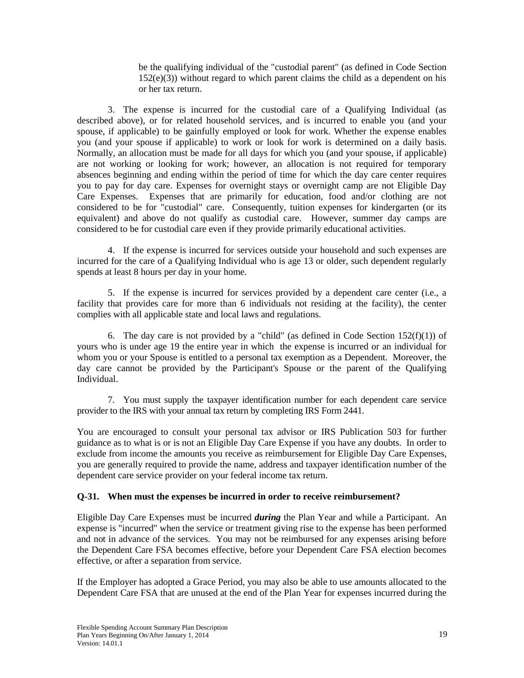be the qualifying individual of the "custodial parent" (as defined in Code Section  $152(e)(3)$ ) without regard to which parent claims the child as a dependent on his or her tax return.

3. The expense is incurred for the custodial care of a Qualifying Individual (as described above), or for related household services, and is incurred to enable you (and your spouse, if applicable) to be gainfully employed or look for work. Whether the expense enables you (and your spouse if applicable) to work or look for work is determined on a daily basis. Normally, an allocation must be made for all days for which you (and your spouse, if applicable) are not working or looking for work; however, an allocation is not required for temporary absences beginning and ending within the period of time for which the day care center requires you to pay for day care. Expenses for overnight stays or overnight camp are not Eligible Day Care Expenses. Expenses that are primarily for education, food and/or clothing are not considered to be for "custodial" care. Consequently, tuition expenses for kindergarten (or its equivalent) and above do not qualify as custodial care. However, summer day camps are considered to be for custodial care even if they provide primarily educational activities.

4. If the expense is incurred for services outside your household and such expenses are incurred for the care of a Qualifying Individual who is age 13 or older, such dependent regularly spends at least 8 hours per day in your home.

5. If the expense is incurred for services provided by a dependent care center (i.e., a facility that provides care for more than 6 individuals not residing at the facility), the center complies with all applicable state and local laws and regulations.

6. The day care is not provided by a "child" (as defined in Code Section  $152(f)(1)$ ) of yours who is under age 19 the entire year in which the expense is incurred or an individual for whom you or your Spouse is entitled to a personal tax exemption as a Dependent. Moreover, the day care cannot be provided by the Participant's Spouse or the parent of the Qualifying Individual.

7. You must supply the taxpayer identification number for each dependent care service provider to the IRS with your annual tax return by completing IRS Form 2441.

You are encouraged to consult your personal tax advisor or IRS Publication 503 for further guidance as to what is or is not an Eligible Day Care Expense if you have any doubts. In order to exclude from income the amounts you receive as reimbursement for Eligible Day Care Expenses, you are generally required to provide the name, address and taxpayer identification number of the dependent care service provider on your federal income tax return.

# **Q-31. When must the expenses be incurred in order to receive reimbursement?**

Eligible Day Care Expenses must be incurred *during* the Plan Year and while a Participant. An expense is "incurred" when the service or treatment giving rise to the expense has been performed and not in advance of the services. You may not be reimbursed for any expenses arising before the Dependent Care FSA becomes effective, before your Dependent Care FSA election becomes effective, or after a separation from service.

If the Employer has adopted a Grace Period, you may also be able to use amounts allocated to the Dependent Care FSA that are unused at the end of the Plan Year for expenses incurred during the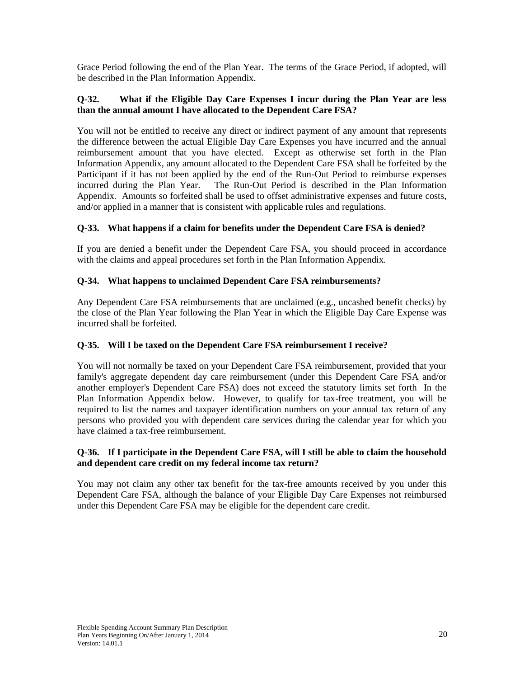Grace Period following the end of the Plan Year. The terms of the Grace Period, if adopted, will be described in the Plan Information Appendix.

# **Q-32. What if the Eligible Day Care Expenses I incur during the Plan Year are less than the annual amount I have allocated to the Dependent Care FSA?**

You will not be entitled to receive any direct or indirect payment of any amount that represents the difference between the actual Eligible Day Care Expenses you have incurred and the annual reimbursement amount that you have elected. Except as otherwise set forth in the Plan Information Appendix, any amount allocated to the Dependent Care FSA shall be forfeited by the Participant if it has not been applied by the end of the Run-Out Period to reimburse expenses incurred during the Plan Year. The Run-Out Period is described in the Plan Information Appendix. Amounts so forfeited shall be used to offset administrative expenses and future costs, and/or applied in a manner that is consistent with applicable rules and regulations.

# **Q-33. What happens if a claim for benefits under the Dependent Care FSA is denied?**

If you are denied a benefit under the Dependent Care FSA, you should proceed in accordance with the claims and appeal procedures set forth in the Plan Information Appendix.

# **Q-34. What happens to unclaimed Dependent Care FSA reimbursements?**

Any Dependent Care FSA reimbursements that are unclaimed (e.g., uncashed benefit checks) by the close of the Plan Year following the Plan Year in which the Eligible Day Care Expense was incurred shall be forfeited.

# **Q-35. Will I be taxed on the Dependent Care FSA reimbursement I receive?**

You will not normally be taxed on your Dependent Care FSA reimbursement, provided that your family's aggregate dependent day care reimbursement (under this Dependent Care FSA and/or another employer's Dependent Care FSA) does not exceed the statutory limits set forth In the Plan Information Appendix below. However, to qualify for tax-free treatment, you will be required to list the names and taxpayer identification numbers on your annual tax return of any persons who provided you with dependent care services during the calendar year for which you have claimed a tax-free reimbursement.

# **Q-36. If I participate in the Dependent Care FSA, will I still be able to claim the household and dependent care credit on my federal income tax return?**

You may not claim any other tax benefit for the tax-free amounts received by you under this Dependent Care FSA, although the balance of your Eligible Day Care Expenses not reimbursed under this Dependent Care FSA may be eligible for the dependent care credit.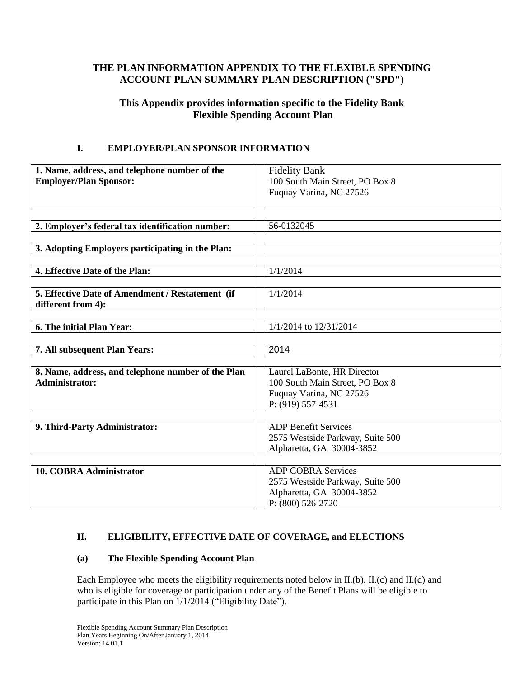# **THE PLAN INFORMATION APPENDIX TO THE FLEXIBLE SPENDING ACCOUNT PLAN SUMMARY PLAN DESCRIPTION ("SPD")**

# **This Appendix provides information specific to the Fidelity Bank Flexible Spending Account Plan**

# **I. EMPLOYER/PLAN SPONSOR INFORMATION**

| 1. Name, address, and telephone number of the<br><b>Employer/Plan Sponsor:</b> | <b>Fidelity Bank</b><br>100 South Main Street, PO Box 8<br>Fuquay Varina, NC 27526                              |
|--------------------------------------------------------------------------------|-----------------------------------------------------------------------------------------------------------------|
| 2. Employer's federal tax identification number:                               | 56-0132045                                                                                                      |
| 3. Adopting Employers participating in the Plan:                               |                                                                                                                 |
| 4. Effective Date of the Plan:                                                 | 1/1/2014                                                                                                        |
| 5. Effective Date of Amendment / Restatement (if<br>different from 4):         | 1/1/2014                                                                                                        |
| 6. The initial Plan Year:                                                      | 1/1/2014 to 12/31/2014                                                                                          |
|                                                                                |                                                                                                                 |
| 7. All subsequent Plan Years:                                                  | 2014                                                                                                            |
| 8. Name, address, and telephone number of the Plan<br><b>Administrator:</b>    | Laurel LaBonte, HR Director<br>100 South Main Street, PO Box 8<br>Fuquay Varina, NC 27526<br>P: (919) 557-4531  |
| 9. Third-Party Administrator:                                                  | <b>ADP</b> Benefit Services<br>2575 Westside Parkway, Suite 500<br>Alpharetta, GA 30004-3852                    |
| <b>10. COBRA Administrator</b>                                                 | <b>ADP COBRA Services</b><br>2575 Westside Parkway, Suite 500<br>Alpharetta, GA 30004-3852<br>P: (800) 526-2720 |

# **II. ELIGIBILITY, EFFECTIVE DATE OF COVERAGE, and ELECTIONS**

# **(a) The Flexible Spending Account Plan**

Each Employee who meets the eligibility requirements noted below in II.(b), II.(c) and II.(d) and who is eligible for coverage or participation under any of the Benefit Plans will be eligible to participate in this Plan on 1/1/2014 ("Eligibility Date").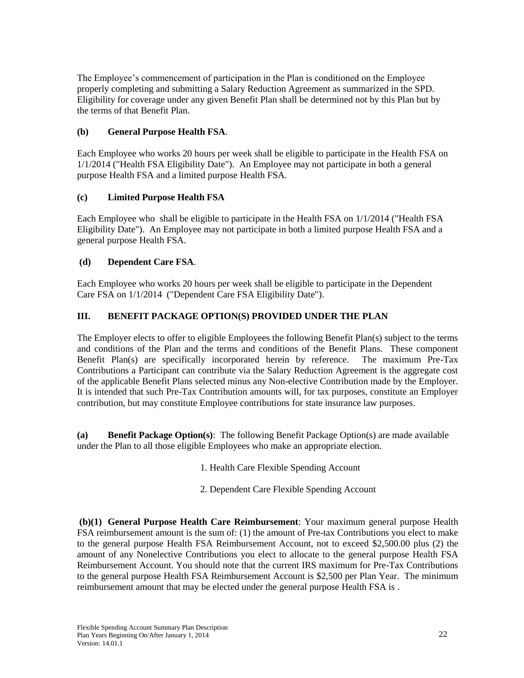The Employee's commencement of participation in the Plan is conditioned on the Employee properly completing and submitting a Salary Reduction Agreement as summarized in the SPD. Eligibility for coverage under any given Benefit Plan shall be determined not by this Plan but by the terms of that Benefit Plan.

# **(b) General Purpose Health FSA**.

Each Employee who works 20 hours per week shall be eligible to participate in the Health FSA on 1/1/2014 ("Health FSA Eligibility Date"). An Employee may not participate in both a general purpose Health FSA and a limited purpose Health FSA.

# **(c) Limited Purpose Health FSA**

Each Employee who shall be eligible to participate in the Health FSA on 1/1/2014 ("Health FSA Eligibility Date"). An Employee may not participate in both a limited purpose Health FSA and a general purpose Health FSA.

# **(d) Dependent Care FSA**.

Each Employee who works 20 hours per week shall be eligible to participate in the Dependent Care FSA on 1/1/2014 ("Dependent Care FSA Eligibility Date").

# **III. BENEFIT PACKAGE OPTION(S) PROVIDED UNDER THE PLAN**

The Employer elects to offer to eligible Employees the following Benefit Plan(s) subject to the terms and conditions of the Plan and the terms and conditions of the Benefit Plans. These component Benefit Plan(s) are specifically incorporated herein by reference. The maximum Pre-Tax Contributions a Participant can contribute via the Salary Reduction Agreement is the aggregate cost of the applicable Benefit Plans selected minus any Non-elective Contribution made by the Employer. It is intended that such Pre-Tax Contribution amounts will, for tax purposes, constitute an Employer contribution, but may constitute Employee contributions for state insurance law purposes.

**(a) Benefit Package Option(s)**: The following Benefit Package Option(s) are made available under the Plan to all those eligible Employees who make an appropriate election.

- 1. Health Care Flexible Spending Account
- 2. Dependent Care Flexible Spending Account

**(b)(1) General Purpose Health Care Reimbursement**: Your maximum general purpose Health FSA reimbursement amount is the sum of: (1) the amount of Pre-tax Contributions you elect to make to the general purpose Health FSA Reimbursement Account, not to exceed \$2,500.00 plus (2) the amount of any Nonelective Contributions you elect to allocate to the general purpose Health FSA Reimbursement Account. You should note that the current IRS maximum for Pre-Tax Contributions to the general purpose Health FSA Reimbursement Account is \$2,500 per Plan Year. The minimum reimbursement amount that may be elected under the general purpose Health FSA is .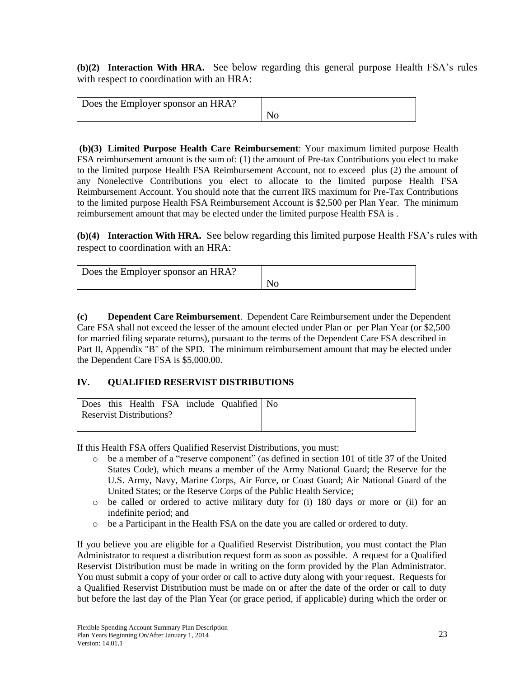**(b)(2) Interaction With HRA.** See below regarding this general purpose Health FSA's rules with respect to coordination with an HRA:

| Does the Employer sponsor an HRA? |  |
|-----------------------------------|--|
|                                   |  |

**(b)(3) Limited Purpose Health Care Reimbursement**: Your maximum limited purpose Health FSA reimbursement amount is the sum of: (1) the amount of Pre-tax Contributions you elect to make to the limited purpose Health FSA Reimbursement Account, not to exceed plus (2) the amount of any Nonelective Contributions you elect to allocate to the limited purpose Health FSA Reimbursement Account. You should note that the current IRS maximum for Pre-Tax Contributions to the limited purpose Health FSA Reimbursement Account is \$2,500 per Plan Year. The minimum reimbursement amount that may be elected under the limited purpose Health FSA is .

**(b)(4) Interaction With HRA.** See below regarding this limited purpose Health FSA's rules with respect to coordination with an HRA:

| Does the Employer sponsor an HRA? |  |
|-----------------------------------|--|
|                                   |  |

**(c) Dependent Care Reimbursement**. Dependent Care Reimbursement under the Dependent Care FSA shall not exceed the lesser of the amount elected under Plan or per Plan Year (or \$2,500 for married filing separate returns), pursuant to the terms of the Dependent Care FSA described in Part II, Appendix "B" of the SPD. The minimum reimbursement amount that may be elected under the Dependent Care FSA is \$5,000.00.

# **IV. QUALIFIED RESERVIST DISTRIBUTIONS**

| Does this Health FSA include Qualified No |  |
|-------------------------------------------|--|
| Reservist Distributions?                  |  |
|                                           |  |

If this Health FSA offers Qualified Reservist Distributions, you must:

- o be a member of a "reserve component" (as defined in section 101 of title 37 of the United States Code), which means a member of the Army National Guard; the Reserve for the U.S. Army, Navy, Marine Corps, Air Force, or Coast Guard; Air National Guard of the United States; or the Reserve Corps of the Public Health Service;
- $\circ$  be called or ordered to active military duty for (i) 180 days or more or (ii) for an indefinite period; and
- o be a Participant in the Health FSA on the date you are called or ordered to duty.

If you believe you are eligible for a Qualified Reservist Distribution, you must contact the Plan Administrator to request a distribution request form as soon as possible. A request for a Qualified Reservist Distribution must be made in writing on the form provided by the Plan Administrator. You must submit a copy of your order or call to active duty along with your request. Requests for a Qualified Reservist Distribution must be made on or after the date of the order or call to duty but before the last day of the Plan Year (or grace period, if applicable) during which the order or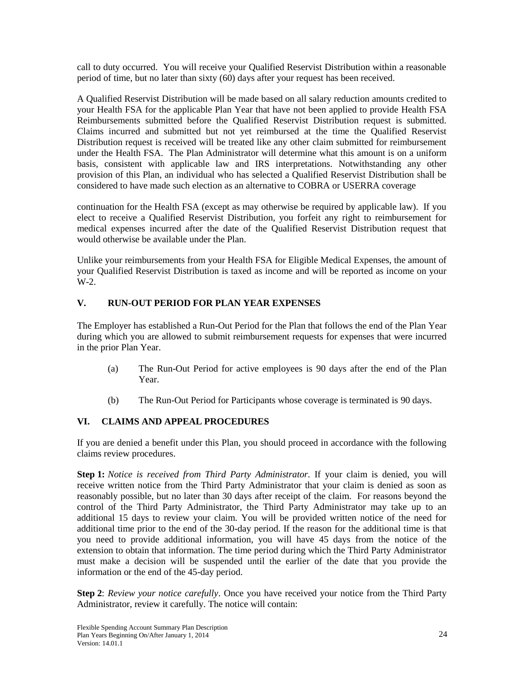call to duty occurred. You will receive your Qualified Reservist Distribution within a reasonable period of time, but no later than sixty (60) days after your request has been received.

A Qualified Reservist Distribution will be made based on all salary reduction amounts credited to your Health FSA for the applicable Plan Year that have not been applied to provide Health FSA Reimbursements submitted before the Qualified Reservist Distribution request is submitted. Claims incurred and submitted but not yet reimbursed at the time the Qualified Reservist Distribution request is received will be treated like any other claim submitted for reimbursement under the Health FSA. The Plan Administrator will determine what this amount is on a uniform basis, consistent with applicable law and IRS interpretations. Notwithstanding any other provision of this Plan, an individual who has selected a Qualified Reservist Distribution shall be considered to have made such election as an alternative to COBRA or USERRA coverage

continuation for the Health FSA (except as may otherwise be required by applicable law). If you elect to receive a Qualified Reservist Distribution, you forfeit any right to reimbursement for medical expenses incurred after the date of the Qualified Reservist Distribution request that would otherwise be available under the Plan.

Unlike your reimbursements from your Health FSA for Eligible Medical Expenses, the amount of your Qualified Reservist Distribution is taxed as income and will be reported as income on your W-2.

# **V. RUN-OUT PERIOD FOR PLAN YEAR EXPENSES**

The Employer has established a Run-Out Period for the Plan that follows the end of the Plan Year during which you are allowed to submit reimbursement requests for expenses that were incurred in the prior Plan Year.

- (a) The Run-Out Period for active employees is 90 days after the end of the Plan Year.
- (b) The Run-Out Period for Participants whose coverage is terminated is 90 days.

# **VI. CLAIMS AND APPEAL PROCEDURES**

If you are denied a benefit under this Plan, you should proceed in accordance with the following claims review procedures.

**Step 1:** *Notice is received from Third Party Administrator.* If your claim is denied, you will receive written notice from the Third Party Administrator that your claim is denied as soon as reasonably possible, but no later than 30 days after receipt of the claim. For reasons beyond the control of the Third Party Administrator, the Third Party Administrator may take up to an additional 15 days to review your claim. You will be provided written notice of the need for additional time prior to the end of the 30-day period. If the reason for the additional time is that you need to provide additional information, you will have 45 days from the notice of the extension to obtain that information. The time period during which the Third Party Administrator must make a decision will be suspended until the earlier of the date that you provide the information or the end of the 45-day period.

**Step 2**: *Review your notice carefully*. Once you have received your notice from the Third Party Administrator, review it carefully. The notice will contain: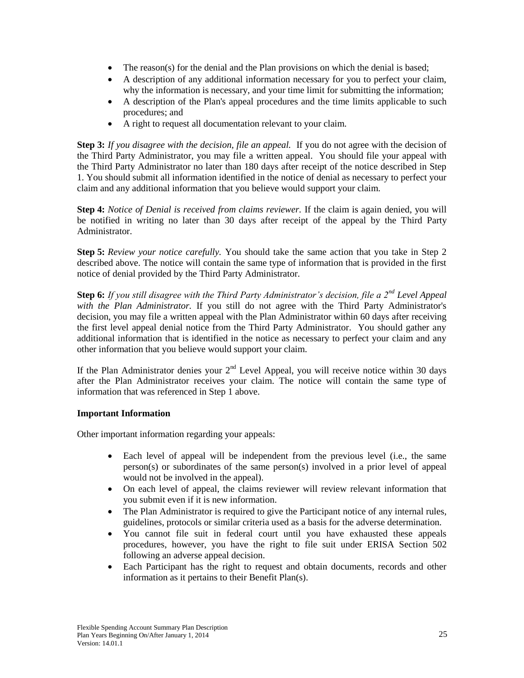- The reason(s) for the denial and the Plan provisions on which the denial is based;
- A description of any additional information necessary for you to perfect your claim, why the information is necessary, and your time limit for submitting the information;
- A description of the Plan's appeal procedures and the time limits applicable to such procedures; and
- A right to request all documentation relevant to your claim.

**Step 3:** *If you disagree with the decision, file an appeal.* If you do not agree with the decision of the Third Party Administrator, you may file a written appeal. You should file your appeal with the Third Party Administrator no later than 180 days after receipt of the notice described in Step 1. You should submit all information identified in the notice of denial as necessary to perfect your claim and any additional information that you believe would support your claim.

**Step 4:** *Notice of Denial is received from claims reviewer.* If the claim is again denied, you will be notified in writing no later than 30 days after receipt of the appeal by the Third Party Administrator.

**Step 5:** *Review your notice carefully.* You should take the same action that you take in Step 2 described above. The notice will contain the same type of information that is provided in the first notice of denial provided by the Third Party Administrator.

**Step 6:** *If you still disagree with the Third Party Administrator's decision, file a 2nd Level Appeal with the Plan Administrator.* If you still do not agree with the Third Party Administrator's decision, you may file a written appeal with the Plan Administrator within 60 days after receiving the first level appeal denial notice from the Third Party Administrator. You should gather any additional information that is identified in the notice as necessary to perfect your claim and any other information that you believe would support your claim.

If the Plan Administrator denies your  $2<sup>nd</sup>$  Level Appeal, you will receive notice within 30 days after the Plan Administrator receives your claim. The notice will contain the same type of information that was referenced in Step 1 above.

#### **Important Information**

Other important information regarding your appeals:

- Each level of appeal will be independent from the previous level (i.e., the same person(s) or subordinates of the same person(s) involved in a prior level of appeal would not be involved in the appeal).
- On each level of appeal, the claims reviewer will review relevant information that you submit even if it is new information.
- The Plan Administrator is required to give the Participant notice of any internal rules, guidelines, protocols or similar criteria used as a basis for the adverse determination.
- You cannot file suit in federal court until you have exhausted these appeals procedures, however, you have the right to file suit under ERISA Section 502 following an adverse appeal decision.
- Each Participant has the right to request and obtain documents, records and other information as it pertains to their Benefit Plan(s).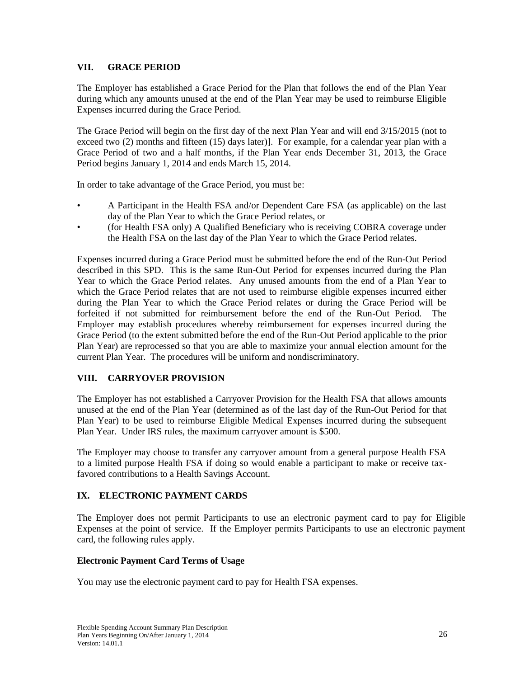### **VII. GRACE PERIOD**

The Employer has established a Grace Period for the Plan that follows the end of the Plan Year during which any amounts unused at the end of the Plan Year may be used to reimburse Eligible Expenses incurred during the Grace Period.

The Grace Period will begin on the first day of the next Plan Year and will end 3/15/2015 (not to exceed two (2) months and fifteen (15) days later)]. For example, for a calendar year plan with a Grace Period of two and a half months, if the Plan Year ends December 31, 2013, the Grace Period begins January 1, 2014 and ends March 15, 2014.

In order to take advantage of the Grace Period, you must be:

- A Participant in the Health FSA and/or Dependent Care FSA (as applicable) on the last day of the Plan Year to which the Grace Period relates, or
- (for Health FSA only) A Qualified Beneficiary who is receiving COBRA coverage under the Health FSA on the last day of the Plan Year to which the Grace Period relates.

Expenses incurred during a Grace Period must be submitted before the end of the Run-Out Period described in this SPD. This is the same Run-Out Period for expenses incurred during the Plan Year to which the Grace Period relates. Any unused amounts from the end of a Plan Year to which the Grace Period relates that are not used to reimburse eligible expenses incurred either during the Plan Year to which the Grace Period relates or during the Grace Period will be forfeited if not submitted for reimbursement before the end of the Run-Out Period. The Employer may establish procedures whereby reimbursement for expenses incurred during the Grace Period (to the extent submitted before the end of the Run-Out Period applicable to the prior Plan Year) are reprocessed so that you are able to maximize your annual election amount for the current Plan Year. The procedures will be uniform and nondiscriminatory.

# **VIII. CARRYOVER PROVISION**

The Employer has not established a Carryover Provision for the Health FSA that allows amounts unused at the end of the Plan Year (determined as of the last day of the Run-Out Period for that Plan Year) to be used to reimburse Eligible Medical Expenses incurred during the subsequent Plan Year. Under IRS rules, the maximum carryover amount is \$500.

The Employer may choose to transfer any carryover amount from a general purpose Health FSA to a limited purpose Health FSA if doing so would enable a participant to make or receive taxfavored contributions to a Health Savings Account.

#### **IX. ELECTRONIC PAYMENT CARDS**

The Employer does not permit Participants to use an electronic payment card to pay for Eligible Expenses at the point of service. If the Employer permits Participants to use an electronic payment card, the following rules apply.

#### **Electronic Payment Card Terms of Usage**

You may use the electronic payment card to pay for Health FSA expenses.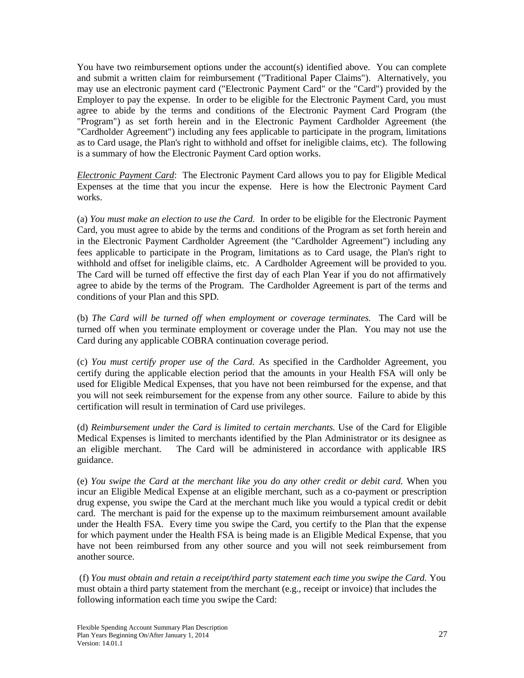You have two reimbursement options under the account(s) identified above. You can complete and submit a written claim for reimbursement ("Traditional Paper Claims"). Alternatively, you may use an electronic payment card ("Electronic Payment Card" or the "Card") provided by the Employer to pay the expense. In order to be eligible for the Electronic Payment Card, you must agree to abide by the terms and conditions of the Electronic Payment Card Program (the "Program") as set forth herein and in the Electronic Payment Cardholder Agreement (the "Cardholder Agreement") including any fees applicable to participate in the program, limitations as to Card usage, the Plan's right to withhold and offset for ineligible claims, etc). The following is a summary of how the Electronic Payment Card option works.

*Electronic Payment Card*: The Electronic Payment Card allows you to pay for Eligible Medical Expenses at the time that you incur the expense. Here is how the Electronic Payment Card works.

(a) *You must make an election to use the Card.* In order to be eligible for the Electronic Payment Card, you must agree to abide by the terms and conditions of the Program as set forth herein and in the Electronic Payment Cardholder Agreement (the "Cardholder Agreement") including any fees applicable to participate in the Program, limitations as to Card usage, the Plan's right to withhold and offset for ineligible claims, etc. A Cardholder Agreement will be provided to you. The Card will be turned off effective the first day of each Plan Year if you do not affirmatively agree to abide by the terms of the Program. The Cardholder Agreement is part of the terms and conditions of your Plan and this SPD.

(b) *The Card will be turned off when employment or coverage terminates.* The Card will be turned off when you terminate employment or coverage under the Plan. You may not use the Card during any applicable COBRA continuation coverage period.

(c) *You must certify proper use of the Card.* As specified in the Cardholder Agreement, you certify during the applicable election period that the amounts in your Health FSA will only be used for Eligible Medical Expenses, that you have not been reimbursed for the expense, and that you will not seek reimbursement for the expense from any other source. Failure to abide by this certification will result in termination of Card use privileges.

(d) *Reimbursement under the Card is limited to certain merchants.* Use of the Card for Eligible Medical Expenses is limited to merchants identified by the Plan Administrator or its designee as an eligible merchant. The Card will be administered in accordance with applicable IRS guidance.

(e) *You swipe the Card at the merchant like you do any other credit or debit card.* When you incur an Eligible Medical Expense at an eligible merchant, such as a co-payment or prescription drug expense, you swipe the Card at the merchant much like you would a typical credit or debit card. The merchant is paid for the expense up to the maximum reimbursement amount available under the Health FSA. Every time you swipe the Card, you certify to the Plan that the expense for which payment under the Health FSA is being made is an Eligible Medical Expense, that you have not been reimbursed from any other source and you will not seek reimbursement from another source.

(f) *You must obtain and retain a receipt/third party statement each time you swipe the Card.* You must obtain a third party statement from the merchant (e.g., receipt or invoice) that includes the following information each time you swipe the Card: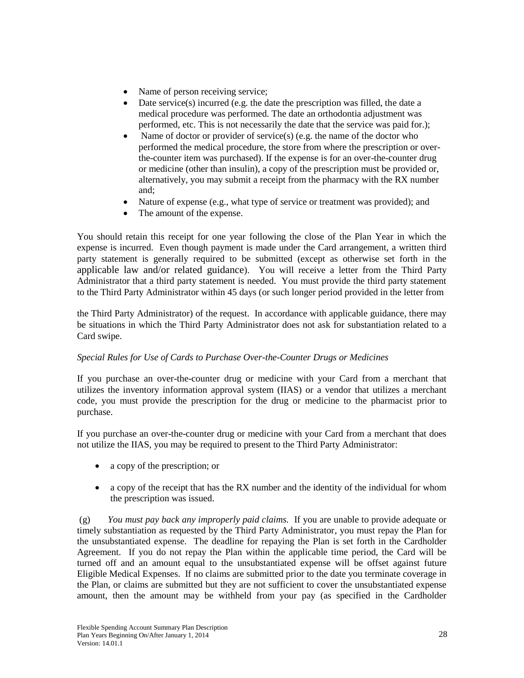- Name of person receiving service;
- $\bullet$  Date service(s) incurred (e.g. the date the prescription was filled, the date a medical procedure was performed. The date an orthodontia adjustment was performed, etc. This is not necessarily the date that the service was paid for.);
- Name of doctor or provider of service(s) (e.g. the name of the doctor who performed the medical procedure, the store from where the prescription or overthe-counter item was purchased). If the expense is for an over-the-counter drug or medicine (other than insulin), a copy of the prescription must be provided or, alternatively, you may submit a receipt from the pharmacy with the RX number and;
- Nature of expense (e.g., what type of service or treatment was provided); and
- The amount of the expense.

You should retain this receipt for one year following the close of the Plan Year in which the expense is incurred. Even though payment is made under the Card arrangement, a written third party statement is generally required to be submitted (except as otherwise set forth in the applicable law and/or related guidance). You will receive a letter from the Third Party Administrator that a third party statement is needed. You must provide the third party statement to the Third Party Administrator within 45 days (or such longer period provided in the letter from

the Third Party Administrator) of the request. In accordance with applicable guidance, there may be situations in which the Third Party Administrator does not ask for substantiation related to a Card swipe.

#### *Special Rules for Use of Cards to Purchase Over-the-Counter Drugs or Medicines*

If you purchase an over-the-counter drug or medicine with your Card from a merchant that utilizes the inventory information approval system (IIAS) or a vendor that utilizes a merchant code, you must provide the prescription for the drug or medicine to the pharmacist prior to purchase.

If you purchase an over-the-counter drug or medicine with your Card from a merchant that does not utilize the IIAS, you may be required to present to the Third Party Administrator:

- a copy of the prescription; or
- a copy of the receipt that has the RX number and the identity of the individual for whom the prescription was issued.

(g) *You must pay back any improperly paid claims.* If you are unable to provide adequate or timely substantiation as requested by the Third Party Administrator, you must repay the Plan for the unsubstantiated expense. The deadline for repaying the Plan is set forth in the Cardholder Agreement. If you do not repay the Plan within the applicable time period, the Card will be turned off and an amount equal to the unsubstantiated expense will be offset against future Eligible Medical Expenses. If no claims are submitted prior to the date you terminate coverage in the Plan, or claims are submitted but they are not sufficient to cover the unsubstantiated expense amount, then the amount may be withheld from your pay (as specified in the Cardholder